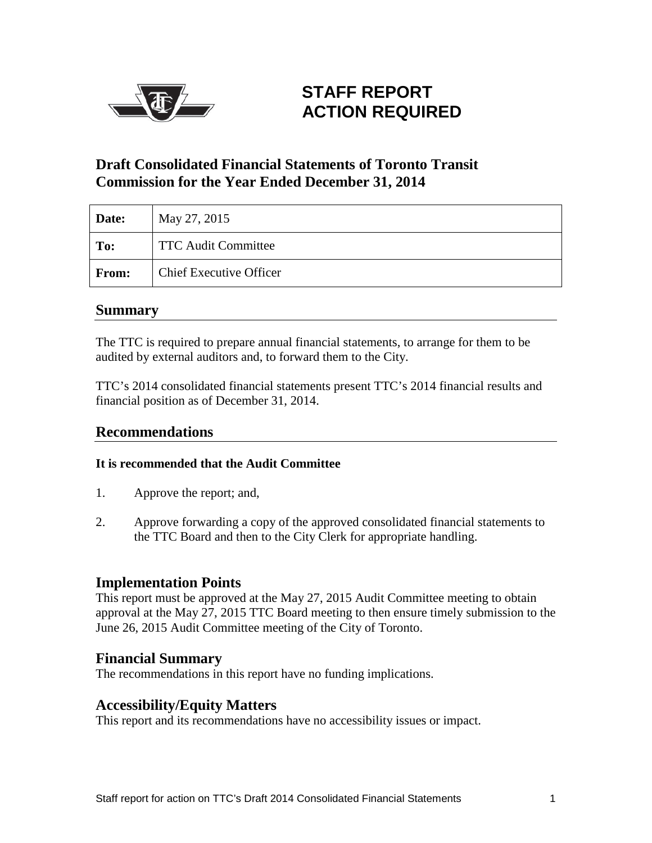

# **STAFF REPORT ACTION REQUIRED**

# **Draft Consolidated Financial Statements of Toronto Transit Commission for the Year Ended December 31, 2014**

| Date:        | May 27, 2015                   |
|--------------|--------------------------------|
| To:          | <b>TTC Audit Committee</b>     |
| <b>From:</b> | <b>Chief Executive Officer</b> |

# **Summary**

The TTC is required to prepare annual financial statements, to arrange for them to be audited by external auditors and, to forward them to the City.

TTC's 2014 consolidated financial statements present TTC's 2014 financial results and financial position as of December 31, 2014.

# **Recommendations**

# **It is recommended that the Audit Committee**

- 1. Approve the report; and,
- 2. Approve forwarding a copy of the approved consolidated financial statements to the TTC Board and then to the City Clerk for appropriate handling.

# **Implementation Points**

This report must be approved at the May 27, 2015 Audit Committee meeting to obtain approval at the May 27, 2015 TTC Board meeting to then ensure timely submission to the June 26, 2015 Audit Committee meeting of the City of Toronto.

# **Financial Summary**

<span id="page-0-0"></span>The recommendations in this report have no funding implications.

# **Accessibility/Equity Matters**

This report and its recommendations have no accessibility issues or impact.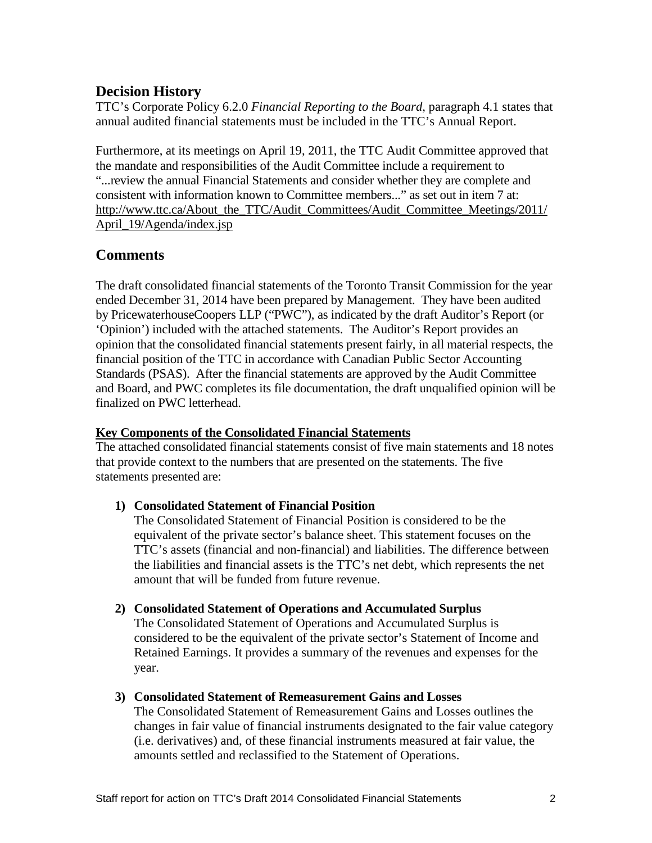# **Decision History**

TTC's Corporate Policy 6.2.0 *Financial Reporting to the Board*, paragraph 4.1 states that annual audited financial statements must be included in the TTC's Annual Report.

Furthermore, at its meetings on April 19, 2011, the TTC Audit Committee approved that the mandate and responsibilities of the Audit Committee include a requirement to "...review the annual Financial Statements and consider whether they are complete and consistent with information known to Committee members..." as set out in item 7 at: [http://www.ttc.ca/About\\_the\\_TTC/Audit\\_Committees/Audit\\_Committee\\_Meetings/2011/](http://www.ttc.ca/About_the_TTC/Audit_Committees/Audit_Committee_Meetings/2011/April_19/Agenda/index.jsp) April 19/Agenda/index.jsp

# **Comments**

The draft consolidated financial statements of the Toronto Transit Commission for the year ended December 31, 2014 have been prepared by Management. They have been audited by PricewaterhouseCoopers LLP ("PWC"), as indicated by the draft Auditor's Report (or 'Opinion') included with the attached statements. The Auditor's Report provides an opinion that the consolidated financial statements present fairly, in all material respects, the financial position of the TTC in accordance with Canadian Public Sector Accounting Standards (PSAS). After the financial statements are approved by the Audit Committee and Board, and PWC completes its file documentation, the draft unqualified opinion will be finalized on PWC letterhead.

# **Key Components of the Consolidated Financial Statements**

The attached consolidated financial statements consist of five main statements and 18 notes that provide context to the numbers that are presented on the statements. The five statements presented are:

# **1) Consolidated Statement of Financial Position**

The Consolidated Statement of Financial Position is considered to be the equivalent of the private sector's balance sheet. This statement focuses on the TTC's assets (financial and non-financial) and liabilities. The difference between the liabilities and financial assets is the TTC's net debt, which represents the net amount that will be funded from future revenue.

# **2) Consolidated Statement of Operations and Accumulated Surplus**

The Consolidated Statement of Operations and Accumulated Surplus is considered to be the equivalent of the private sector's Statement of Income and Retained Earnings. It provides a summary of the revenues and expenses for the year.

# **3) Consolidated Statement of Remeasurement Gains and Losses**

The Consolidated Statement of Remeasurement Gains and Losses outlines the changes in fair value of financial instruments designated to the fair value category (i.e. derivatives) and, of these financial instruments measured at fair value, the amounts settled and reclassified to the Statement of Operations.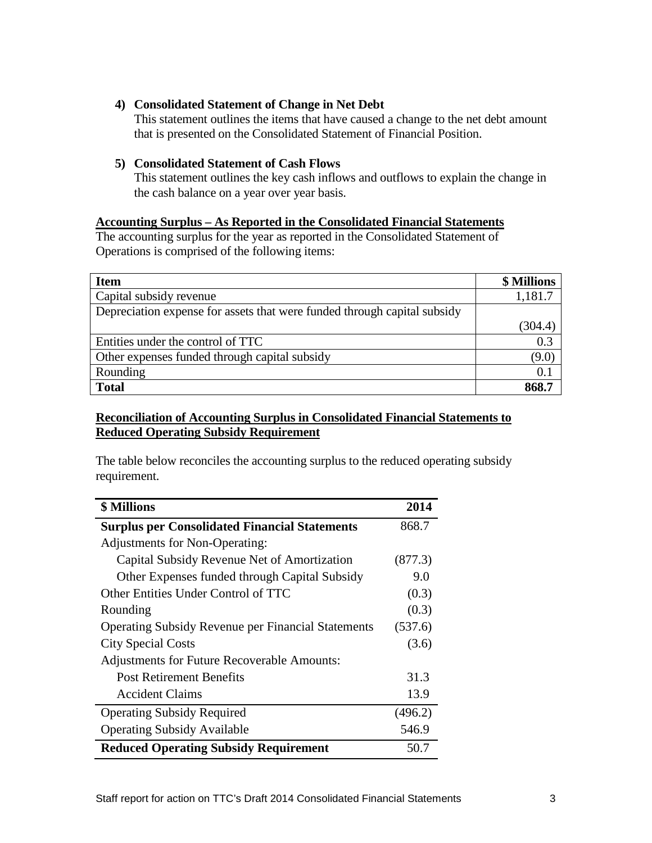# **4) Consolidated Statement of Change in Net Debt**

This statement outlines the items that have caused a change to the net debt amount that is presented on the Consolidated Statement of Financial Position.

# **5) Consolidated Statement of Cash Flows**

This statement outlines the key cash inflows and outflows to explain the change in the cash balance on a year over year basis.

# **Accounting Surplus – As Reported in the Consolidated Financial Statements**

The accounting surplus for the year as reported in the Consolidated Statement of Operations is comprised of the following items:

| <b>Item</b>                                                              | \$ Millions |
|--------------------------------------------------------------------------|-------------|
| Capital subsidy revenue                                                  | 1,181.7     |
| Depreciation expense for assets that were funded through capital subsidy |             |
|                                                                          | (304.4)     |
| Entities under the control of TTC                                        | 0.3         |
| Other expenses funded through capital subsidy                            | (9.0)       |
| Rounding                                                                 | 0.1         |
| <b>Total</b>                                                             | 868.7       |

# **Reconciliation of Accounting Surplus in Consolidated Financial Statements to Reduced Operating Subsidy Requirement**

The table below reconciles the accounting surplus to the reduced operating subsidy requirement.

| <b>\$</b> Millions                                        | 2014    |
|-----------------------------------------------------------|---------|
| <b>Surplus per Consolidated Financial Statements</b>      | 868.7   |
| <b>Adjustments for Non-Operating:</b>                     |         |
| Capital Subsidy Revenue Net of Amortization               | (877.3) |
| Other Expenses funded through Capital Subsidy             | 9.0     |
| Other Entities Under Control of TTC                       | (0.3)   |
| Rounding                                                  | (0.3)   |
| <b>Operating Subsidy Revenue per Financial Statements</b> | (537.6) |
| <b>City Special Costs</b>                                 | (3.6)   |
| <b>Adjustments for Future Recoverable Amounts:</b>        |         |
| <b>Post Retirement Benefits</b>                           | 31.3    |
| <b>Accident Claims</b>                                    | 13.9    |
| <b>Operating Subsidy Required</b>                         | (496.2) |
| <b>Operating Subsidy Available</b>                        | 546.9   |
| <b>Reduced Operating Subsidy Requirement</b>              | 50.7    |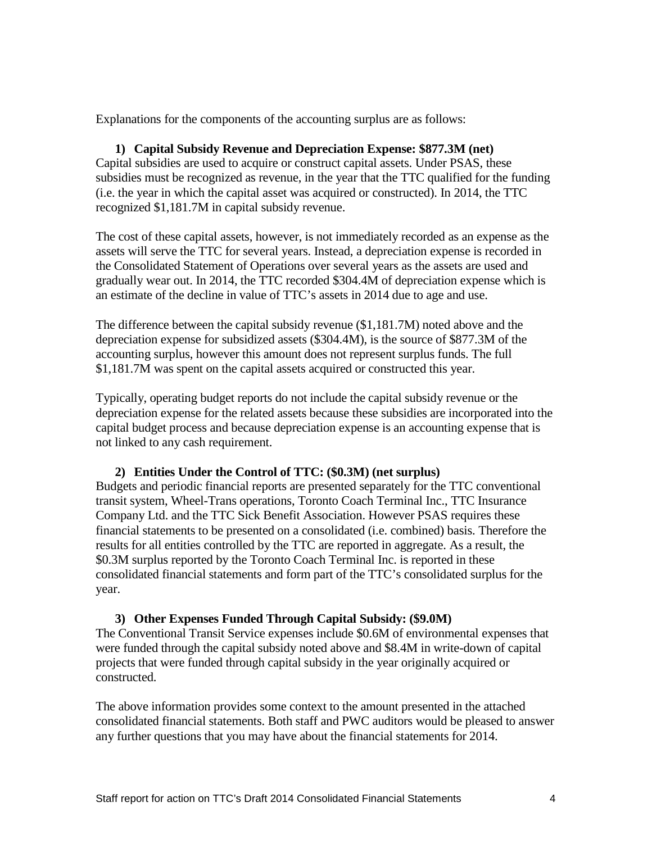Explanations for the components of the accounting surplus are as follows:

**1) Capital Subsidy Revenue and Depreciation Expense: \$877.3M (net)** Capital subsidies are used to acquire or construct capital assets. Under PSAS, these subsidies must be recognized as revenue, in the year that the TTC qualified for the funding (i.e. the year in which the capital asset was acquired or constructed). In 2014, the TTC recognized \$1,181.7M in capital subsidy revenue.

The cost of these capital assets, however, is not immediately recorded as an expense as the assets will serve the TTC for several years. Instead, a depreciation expense is recorded in the Consolidated Statement of Operations over several years as the assets are used and gradually wear out. In 2014, the TTC recorded \$304.4M of depreciation expense which is an estimate of the decline in value of TTC's assets in 2014 due to age and use.

The difference between the capital subsidy revenue (\$1,181.7M) noted above and the depreciation expense for subsidized assets (\$304.4M), is the source of \$877.3M of the accounting surplus, however this amount does not represent surplus funds. The full \$1,181.7M was spent on the capital assets acquired or constructed this year.

Typically, operating budget reports do not include the capital subsidy revenue or the depreciation expense for the related assets because these subsidies are incorporated into the capital budget process and because depreciation expense is an accounting expense that is not linked to any cash requirement.

### **2) Entities Under the Control of TTC: (\$0.3M) (net surplus)**

Budgets and periodic financial reports are presented separately for the TTC conventional transit system, Wheel-Trans operations, Toronto Coach Terminal Inc., TTC Insurance Company Ltd. and the TTC Sick Benefit Association. However PSAS requires these financial statements to be presented on a consolidated (i.e. combined) basis. Therefore the results for all entities controlled by the TTC are reported in aggregate. As a result, the \$0.3M surplus reported by the Toronto Coach Terminal Inc. is reported in these consolidated financial statements and form part of the TTC's consolidated surplus for the year.

### **3) Other Expenses Funded Through Capital Subsidy: (\$9.0M)**

The Conventional Transit Service expenses include \$0.6M of environmental expenses that were funded through the capital subsidy noted above and \$8.4M in write-down of capital projects that were funded through capital subsidy in the year originally acquired or constructed.

The above information provides some context to the amount presented in the attached consolidated financial statements. Both staff and PWC auditors would be pleased to answer any further questions that you may have about the financial statements for 2014.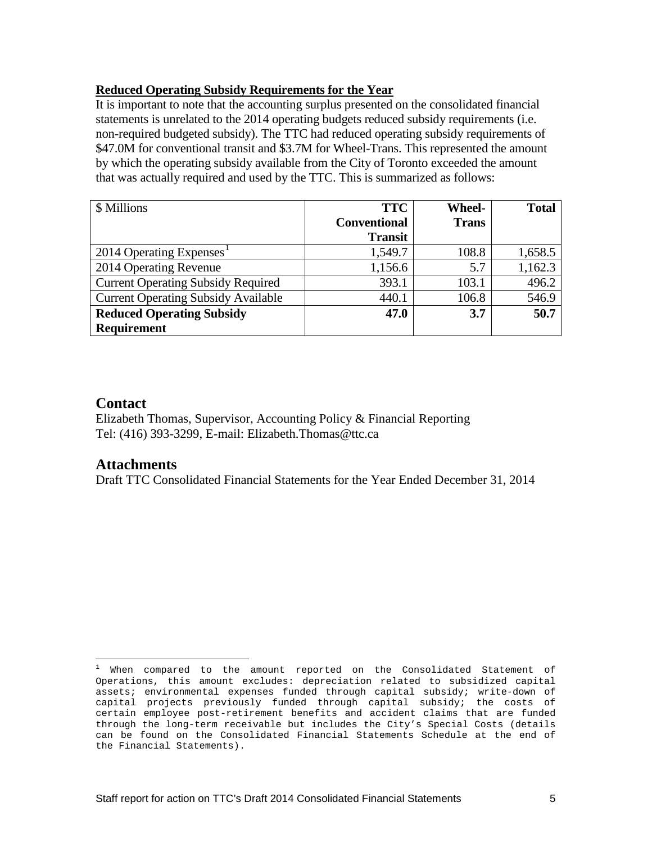# **Reduced Operating Subsidy Requirements for the Year**

It is important to note that the accounting surplus presented on the consolidated financial statements is unrelated to the 2014 operating budgets reduced subsidy requirements (i.e. non-required budgeted subsidy). The TTC had reduced operating subsidy requirements of \$47.0M for conventional transit and \$3.7M for Wheel-Trans. This represented the amount by which the operating subsidy available from the City of Toronto exceeded the amount that was actually required and used by the TTC. This is summarized as follows:

| \$ Millions                                | <b>TTC</b><br><b>Conventional</b> | <b>Wheel-</b><br><b>Trans</b> | <b>Total</b> |
|--------------------------------------------|-----------------------------------|-------------------------------|--------------|
|                                            | <b>Transit</b>                    |                               |              |
| 2014 Operating Expenses                    | 1,549.7                           | 108.8                         | 1,658.5      |
| 2014 Operating Revenue                     | 1,156.6                           | 5.7                           | 1,162.3      |
| <b>Current Operating Subsidy Required</b>  | 393.1                             | 103.1                         | 496.2        |
| <b>Current Operating Subsidy Available</b> | 440.1                             | 106.8                         | 546.9        |
| <b>Reduced Operating Subsidy</b>           | 47.0                              | 3.7                           | 50.7         |
| <b>Requirement</b>                         |                                   |                               |              |

# **Contact**

Elizabeth Thomas, Supervisor, Accounting Policy & Financial Reporting Tel: (416) 393-3299, E-mail: [Elizabeth.Thomas@ttc.ca](mailto:Elizabeth.Thomas@ttc.ca)

# **Attachments**

Draft TTC Consolidated Financial Statements for the Year Ended December 31, 2014

 $\overline{a}$ <sup>1</sup> When compared to the amount reported on the Consolidated Statement of Operations, this amount excludes: depreciation related to subsidized capital assets; environmental expenses funded through capital subsidy; write-down of capital projects previously funded through capital subsidy; the costs of certain employee post-retirement benefits and accident claims that are funded through the long-term receivable but includes the City's Special Costs (details can be found on the Consolidated Financial Statements Schedule at the end of the Financial Statements).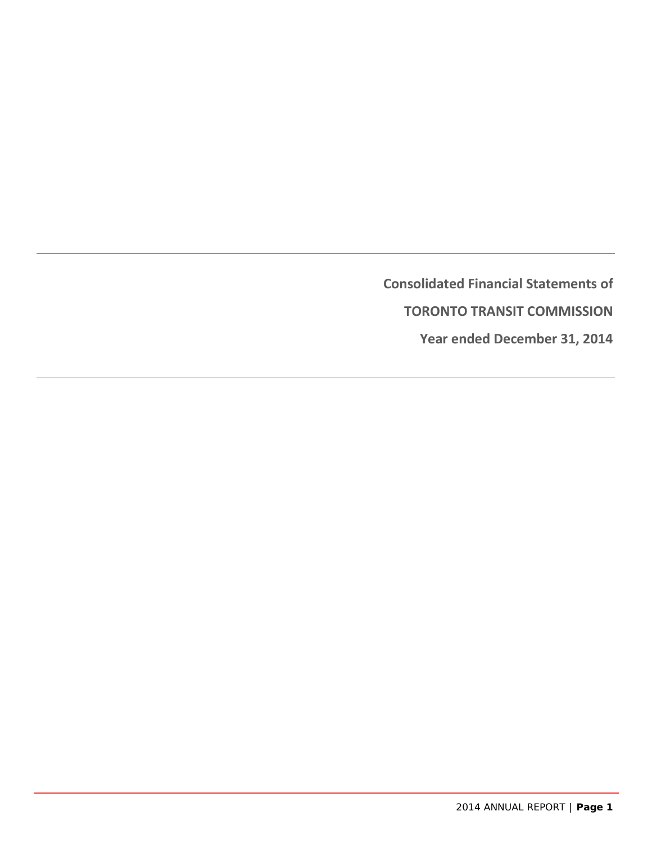**Consolidated Financial Statements of TORONTO TRANSIT COMMISSION Year ended December 31, 2014**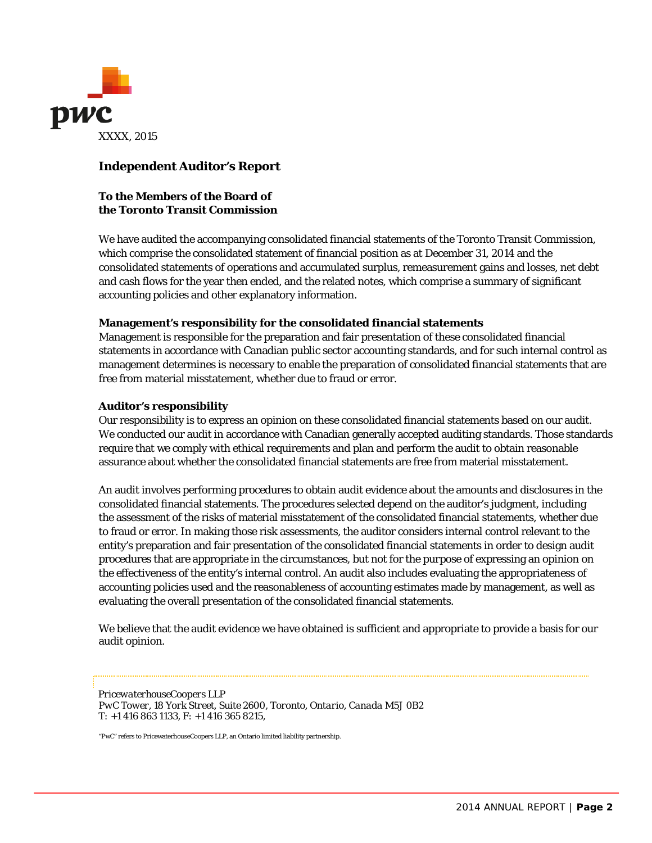

# **Independent Auditor's Report**

#### **To the Members of the Board of the Toronto Transit Commission**

We have audited the accompanying consolidated financial statements of the Toronto Transit Commission, which comprise the consolidated statement of financial position as at December 31, 2014 and the consolidated statements of operations and accumulated surplus, remeasurement gains and losses, net debt and cash flows for the year then ended, and the related notes, which comprise a summary of significant accounting policies and other explanatory information.

#### **Management's responsibility for the consolidated financial statements**

Management is responsible for the preparation and fair presentation of these consolidated financial statements in accordance with Canadian public sector accounting standards, and for such internal control as management determines is necessary to enable the preparation of consolidated financial statements that are free from material misstatement, whether due to fraud or error.

#### **Auditor's responsibility**

Our responsibility is to express an opinion on these consolidated financial statements based on our audit. We conducted our audit in accordance with Canadian generally accepted auditing standards. Those standards require that we comply with ethical requirements and plan and perform the audit to obtain reasonable assurance about whether the consolidated financial statements are free from material misstatement.

An audit involves performing procedures to obtain audit evidence about the amounts and disclosures in the consolidated financial statements. The procedures selected depend on the auditor's judgment, including the assessment of the risks of material misstatement of the consolidated financial statements, whether due to fraud or error. In making those risk assessments, the auditor considers internal control relevant to the entity's preparation and fair presentation of the consolidated financial statements in order to design audit procedures that are appropriate in the circumstances, but not for the purpose of expressing an opinion on the effectiveness of the entity's internal control. An audit also includes evaluating the appropriateness of accounting policies used and the reasonableness of accounting estimates made by management, as well as evaluating the overall presentation of the consolidated financial statements.

We believe that the audit evidence we have obtained is sufficient and appropriate to provide a basis for our audit opinion.

*PricewaterhouseCoopers LLP PwC Tower, 18 York Street, Suite 2600, Toronto, Ontario, Canada M5J 0B2 T: +1 416 863 1133, F: +1 416 365 8215,* 

"PwC" refers to PricewaterhouseCoopers LLP, an Ontario limited liability partnership.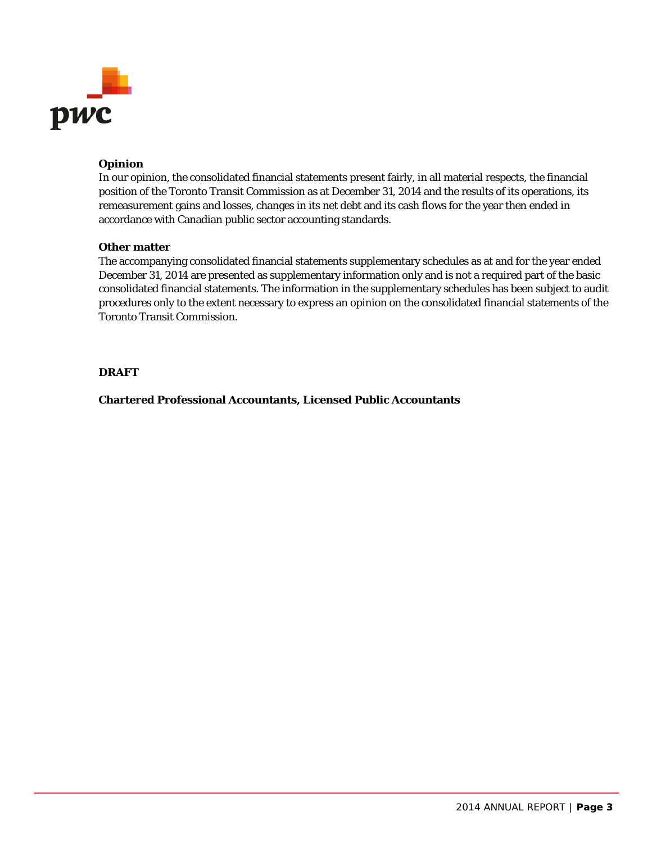

#### **Opinion**

In our opinion, the consolidated financial statements present fairly, in all material respects, the financial position of the Toronto Transit Commission as at December 31, 2014 and the results of its operations, its remeasurement gains and losses, changes in its net debt and its cash flows for the year then ended in accordance with Canadian public sector accounting standards.

#### **Other matter**

The accompanying consolidated financial statements supplementary schedules as at and for the year ended December 31, 2014 are presented as supplementary information only and is not a required part of the basic consolidated financial statements. The information in the supplementary schedules has been subject to audit procedures only to the extent necessary to express an opinion on the consolidated financial statements of the Toronto Transit Commission.

#### **DRAFT**

**Chartered Professional Accountants, Licensed Public Accountants**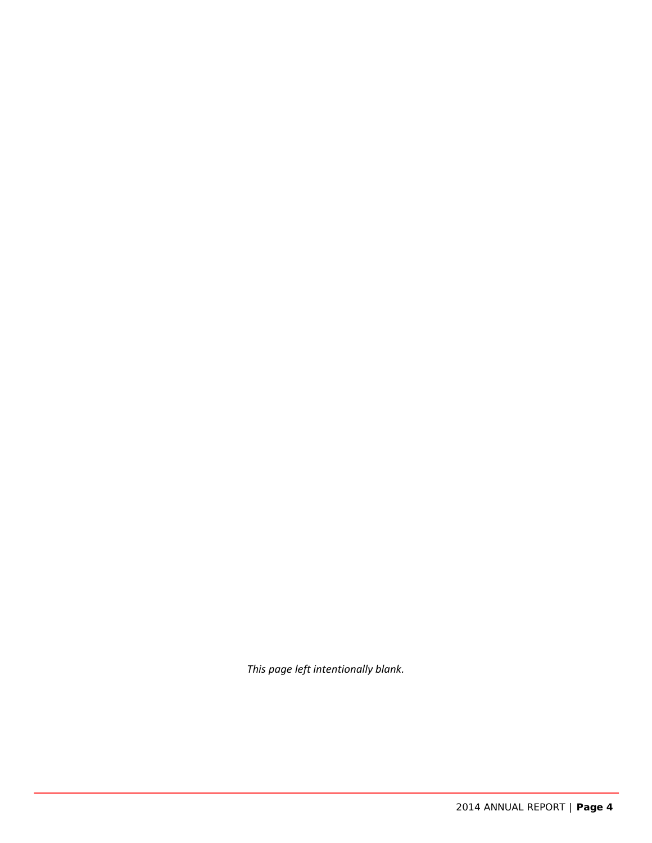*This page left intentionally blank.*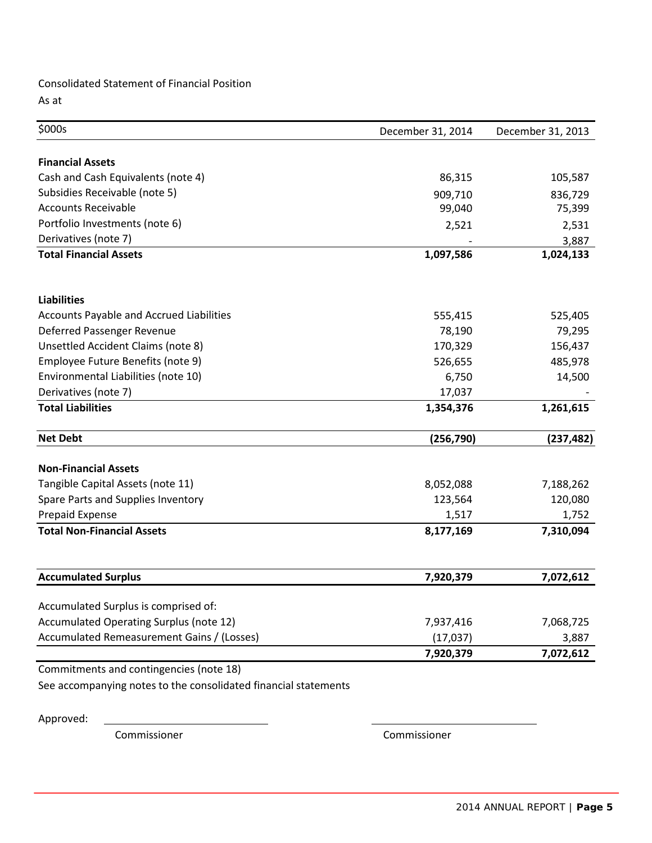# Consolidated Statement of Financial Position

As at

| \$000s                                                    | December 31, 2014 | December 31, 2013 |
|-----------------------------------------------------------|-------------------|-------------------|
|                                                           |                   |                   |
| <b>Financial Assets</b>                                   |                   |                   |
| Cash and Cash Equivalents (note 4)                        | 86,315            | 105,587           |
| Subsidies Receivable (note 5)                             | 909,710           | 836,729           |
| <b>Accounts Receivable</b>                                | 99,040            | 75,399            |
| Portfolio Investments (note 6)                            | 2,521             | 2,531             |
| Derivatives (note 7)                                      |                   | 3,887             |
| <b>Total Financial Assets</b>                             | 1,097,586         | 1,024,133         |
| <b>Liabilities</b>                                        |                   |                   |
| <b>Accounts Payable and Accrued Liabilities</b>           | 555,415           | 525,405           |
| Deferred Passenger Revenue                                | 78,190            | 79,295            |
| Unsettled Accident Claims (note 8)                        | 170,329           | 156,437           |
| Employee Future Benefits (note 9)                         | 526,655           | 485,978           |
| Environmental Liabilities (note 10)                       | 6,750             | 14,500            |
| Derivatives (note 7)                                      | 17,037            |                   |
| <b>Total Liabilities</b>                                  | 1,354,376         | 1,261,615         |
| <b>Net Debt</b>                                           | (256, 790)        | (237, 482)        |
| <b>Non-Financial Assets</b>                               |                   |                   |
| Tangible Capital Assets (note 11)                         | 8,052,088         | 7,188,262         |
| Spare Parts and Supplies Inventory                        | 123,564           | 120,080           |
| Prepaid Expense                                           | 1,517             | 1,752             |
| <b>Total Non-Financial Assets</b>                         | 8,177,169         | 7,310,094         |
| <b>Accumulated Surplus</b>                                | 7,920,379         | 7,072,612         |
|                                                           |                   |                   |
| Accumulated Surplus is comprised of:                      |                   |                   |
| <b>Accumulated Operating Surplus (note 12)</b>            | 7,937,416         | 7,068,725         |
| Accumulated Remeasurement Gains / (Losses)                | (17, 037)         | 3,887             |
|                                                           | 7,920,379         | 7,072,612         |
| Commitments and contingencies (note 18)                   |                   |                   |
| emperising notes to the consolidated financial statement. |                   |                   |

See accompanying notes to the consolidated financial statements

Approved:

Commissioner Commissioner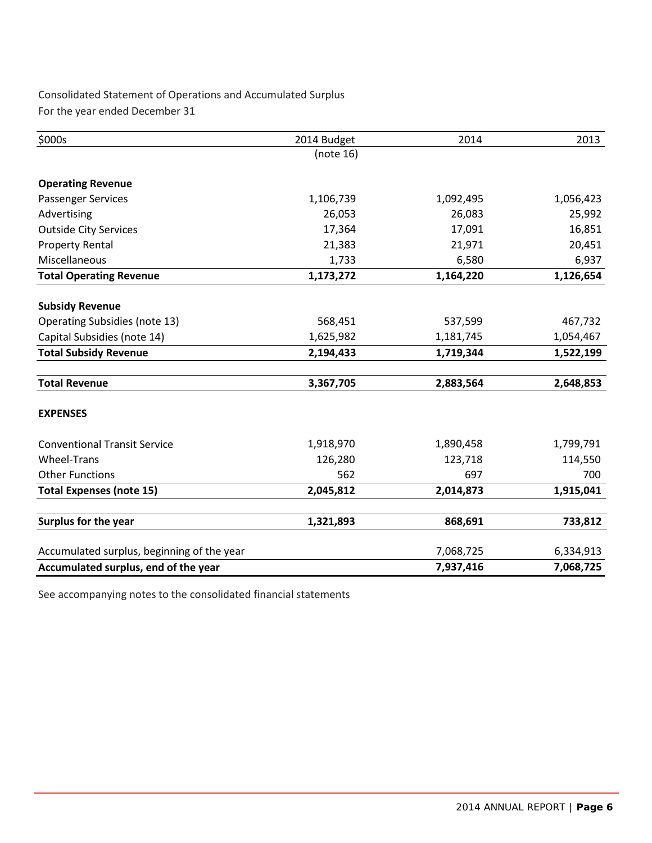# Consolidated Statement of Operations and Accumulated Surplus For the year ended December 31

| \$000s                                     | 2014 Budget | 2014      | 2013      |
|--------------------------------------------|-------------|-----------|-----------|
|                                            | (note 16)   |           |           |
| <b>Operating Revenue</b>                   |             |           |           |
| <b>Passenger Services</b>                  | 1,106,739   | 1,092,495 | 1,056,423 |
| Advertising                                | 26,053      | 26,083    | 25,992    |
| <b>Outside City Services</b>               | 17,364      | 17,091    | 16,851    |
| <b>Property Rental</b>                     | 21,383      | 21,971    | 20,451    |
| Miscellaneous                              | 1,733       | 6,580     | 6,937     |
| <b>Total Operating Revenue</b>             | 1,173,272   | 1,164,220 | 1,126,654 |
| <b>Subsidy Revenue</b>                     |             |           |           |
| Operating Subsidies (note 13)              | 568,451     | 537,599   | 467,732   |
| Capital Subsidies (note 14)                | 1,625,982   | 1,181,745 | 1,054,467 |
| <b>Total Subsidy Revenue</b>               | 2,194,433   | 1,719,344 | 1,522,199 |
| <b>Total Revenue</b>                       | 3,367,705   | 2,883,564 | 2,648,853 |
| <b>EXPENSES</b>                            |             |           |           |
| <b>Conventional Transit Service</b>        | 1,918,970   | 1,890,458 | 1,799,791 |
| Wheel-Trans                                | 126,280     | 123,718   | 114,550   |
| <b>Other Functions</b>                     | 562         | 697       | 700       |
| <b>Total Expenses (note 15)</b>            | 2,045,812   | 2,014,873 | 1,915,041 |
| Surplus for the year                       | 1,321,893   | 868,691   | 733,812   |
| Accumulated surplus, beginning of the year |             | 7,068,725 | 6,334,913 |
| Accumulated surplus, end of the year       |             | 7,937,416 | 7,068,725 |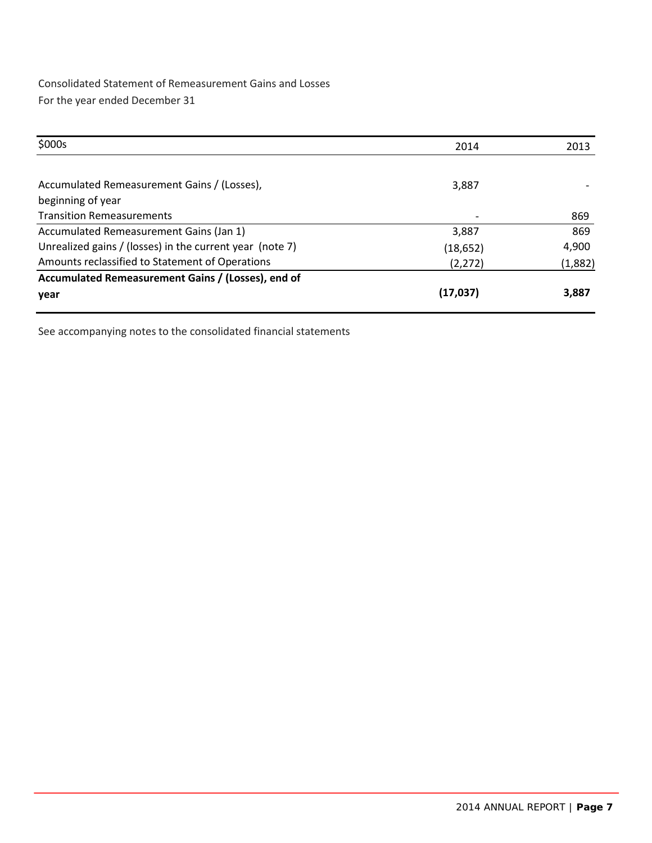Consolidated Statement of Remeasurement Gains and Losses For the year ended December 31

| \$000s                                                   | 2014      | 2013    |
|----------------------------------------------------------|-----------|---------|
|                                                          |           |         |
| Accumulated Remeasurement Gains / (Losses),              | 3,887     |         |
| beginning of year                                        |           |         |
| <b>Transition Remeasurements</b>                         |           | 869     |
| Accumulated Remeasurement Gains (Jan 1)                  | 3,887     | 869     |
| Unrealized gains / (losses) in the current year (note 7) | (18,652)  | 4,900   |
| Amounts reclassified to Statement of Operations          | (2, 272)  | (1,882) |
| Accumulated Remeasurement Gains / (Losses), end of       |           |         |
| year                                                     | (17, 037) | 3,887   |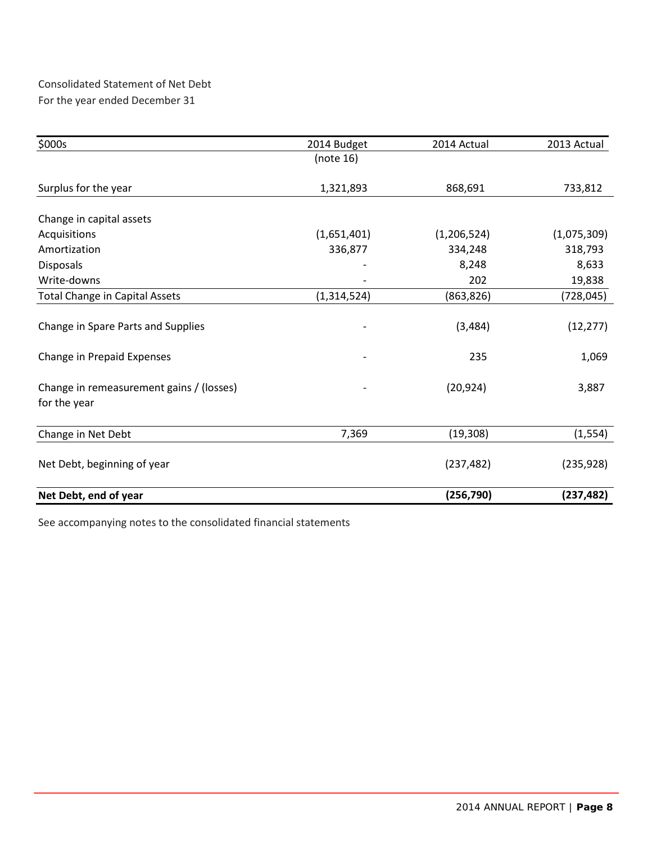# Consolidated Statement of Net Debt For the year ended December 31

| \$000s                                                   | 2014 Budget | 2014 Actual | 2013 Actual |
|----------------------------------------------------------|-------------|-------------|-------------|
|                                                          | (note 16)   |             |             |
| Surplus for the year                                     | 1,321,893   | 868,691     | 733,812     |
| Change in capital assets                                 |             |             |             |
| Acquisitions                                             | (1,651,401) | (1,206,524) | (1,075,309) |
| Amortization                                             | 336,877     | 334,248     | 318,793     |
| <b>Disposals</b>                                         |             | 8,248       | 8,633       |
| Write-downs                                              |             | 202         | 19,838      |
| <b>Total Change in Capital Assets</b>                    | (1,314,524) | (863, 826)  | (728, 045)  |
| Change in Spare Parts and Supplies                       |             | (3, 484)    | (12, 277)   |
| Change in Prepaid Expenses                               |             | 235         | 1,069       |
| Change in remeasurement gains / (losses)<br>for the year |             | (20, 924)   | 3,887       |
| Change in Net Debt                                       | 7,369       | (19, 308)   | (1, 554)    |
| Net Debt, beginning of year                              |             | (237, 482)  | (235, 928)  |
| Net Debt, end of year                                    |             | (256, 790)  | (237, 482)  |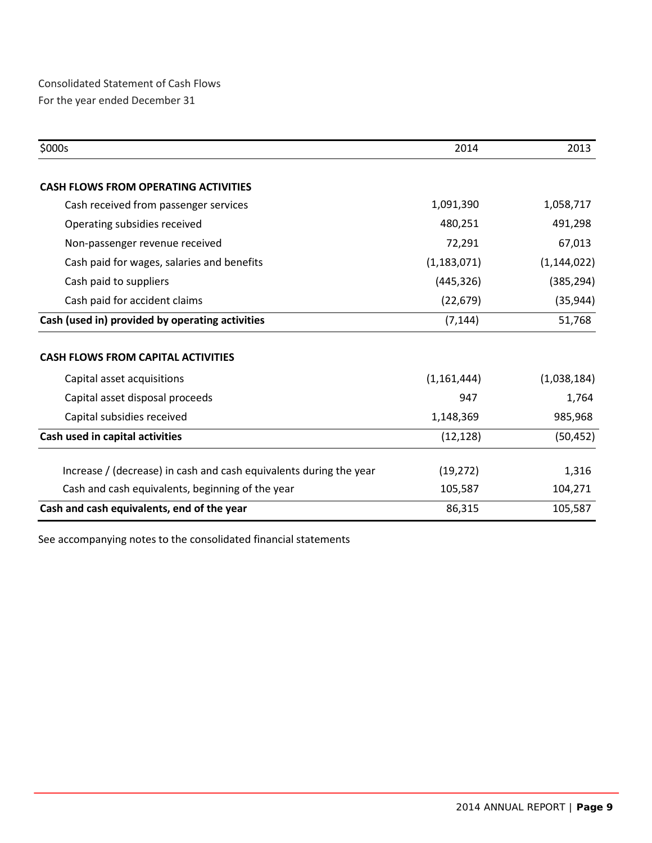Consolidated Statement of Cash Flows For the year ended December 31

| \$000s                                                             | 2014          | 2013          |
|--------------------------------------------------------------------|---------------|---------------|
| <b>CASH FLOWS FROM OPERATING ACTIVITIES</b>                        |               |               |
| Cash received from passenger services                              | 1,091,390     | 1,058,717     |
| Operating subsidies received                                       | 480,251       | 491,298       |
| Non-passenger revenue received                                     | 72,291        | 67,013        |
| Cash paid for wages, salaries and benefits                         | (1, 183, 071) | (1, 144, 022) |
| Cash paid to suppliers                                             | (445, 326)    | (385, 294)    |
| Cash paid for accident claims                                      | (22, 679)     | (35, 944)     |
| Cash (used in) provided by operating activities                    | (7, 144)      | 51,768        |
| <b>CASH FLOWS FROM CAPITAL ACTIVITIES</b>                          |               |               |
| Capital asset acquisitions                                         | (1,161,444)   | (1,038,184)   |
| Capital asset disposal proceeds                                    | 947           | 1,764         |
| Capital subsidies received                                         | 1,148,369     | 985,968       |
| Cash used in capital activities                                    | (12, 128)     | (50, 452)     |
| Increase / (decrease) in cash and cash equivalents during the year | (19, 272)     | 1,316         |
| Cash and cash equivalents, beginning of the year                   | 105,587       | 104,271       |
| Cash and cash equivalents, end of the year                         | 86,315        | 105,587       |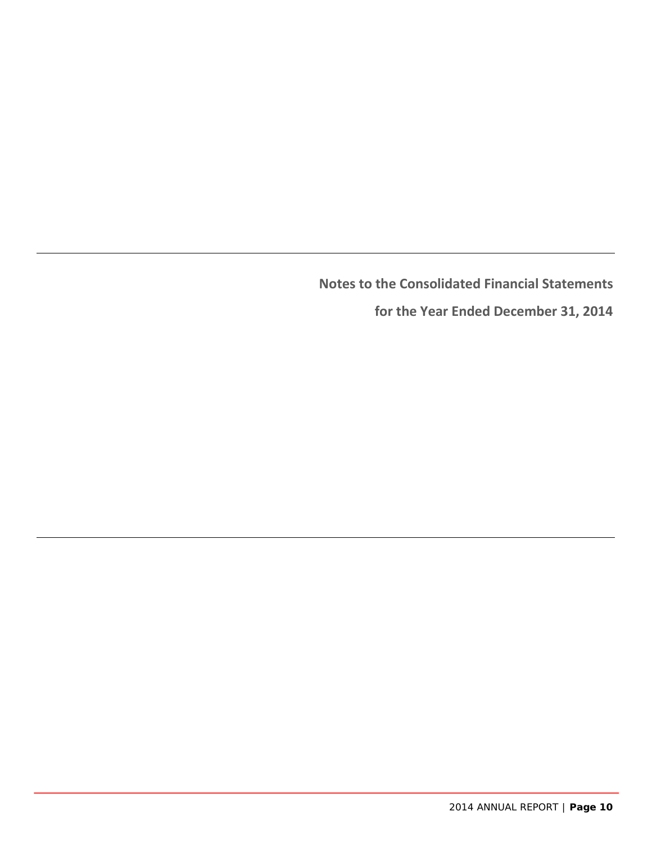**Notes to the Consolidated Financial Statements**

**for the Year Ended December 31, 2014**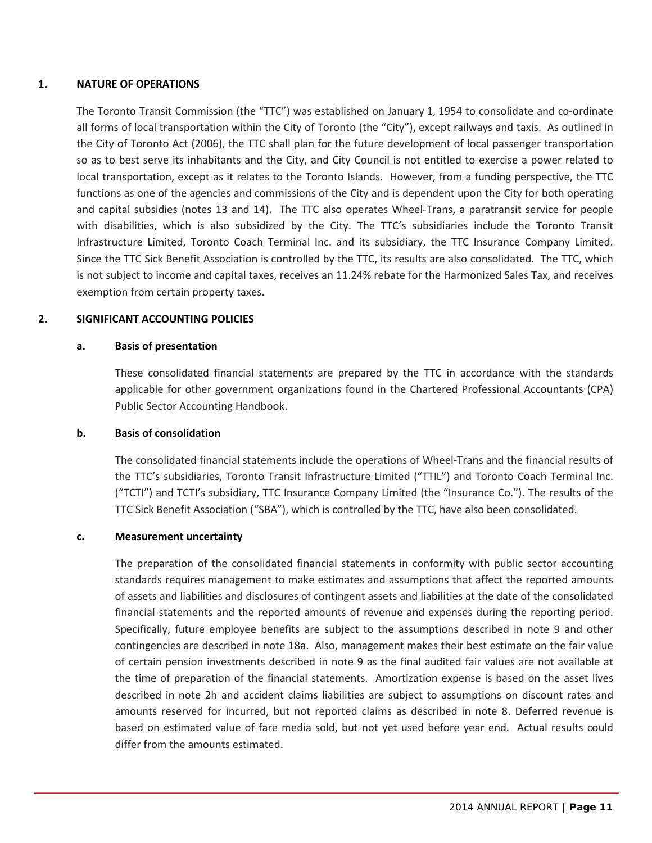### **1. NATURE OF OPERATIONS**

The Toronto Transit Commission (the "TTC") was established on January 1, 1954 to consolidate and co-ordinate all forms of local transportation within the City of Toronto (the "City"), except railways and taxis. As outlined in the City of Toronto Act (2006), the TTC shall plan for the future development of local passenger transportation so as to best serve its inhabitants and the City, and City Council is not entitled to exercise a power related to local transportation, except as it relates to the Toronto Islands. However, from a funding perspective, the TTC functions as one of the agencies and commissions of the City and is dependent upon the City for both operating and capital subsidies (notes 13 and 14). The TTC also operates Wheel-Trans, a paratransit service for people with disabilities, which is also subsidized by the City. The TTC's subsidiaries include the Toronto Transit Infrastructure Limited, Toronto Coach Terminal Inc. and its subsidiary, the TTC Insurance Company Limited. Since the TTC Sick Benefit Association is controlled by the TTC, its results are also consolidated. The TTC, which is not subject to income and capital taxes, receives an 11.24% rebate for the Harmonized Sales Tax, and receives exemption from certain property taxes.

## **2. SIGNIFICANT ACCOUNTING POLICIES**

### **a. Basis of presentation**

These consolidated financial statements are prepared by the TTC in accordance with the standards applicable for other government organizations found in the Chartered Professional Accountants (CPA) Public Sector Accounting Handbook.

### **b. Basis of consolidation**

The consolidated financial statements include the operations of Wheel-Trans and the financial results of the TTC's subsidiaries, Toronto Transit Infrastructure Limited ("TTIL") and Toronto Coach Terminal Inc. ("TCTI") and TCTI's subsidiary, TTC Insurance Company Limited (the "Insurance Co."). The results of the TTC Sick Benefit Association ("SBA"), which is controlled by the TTC, have also been consolidated.

#### **c. Measurement uncertainty**

The preparation of the consolidated financial statements in conformity with public sector accounting standards requires management to make estimates and assumptions that affect the reported amounts of assets and liabilities and disclosures of contingent assets and liabilities at the date of the consolidated financial statements and the reported amounts of revenue and expenses during the reporting period. Specifically, future employee benefits are subject to the assumptions described in note 9 and other contingencies are described in note 18a. Also, management makes their best estimate on the fair value of certain pension investments described in note 9 as the final audited fair values are not available at the time of preparation of the financial statements. Amortization expense is based on the asset lives described in note 2h and accident claims liabilities are subject to assumptions on discount rates and amounts reserved for incurred, but not reported claims as described in note 8. Deferred revenue is based on estimated value of fare media sold, but not yet used before year end. Actual results could differ from the amounts estimated.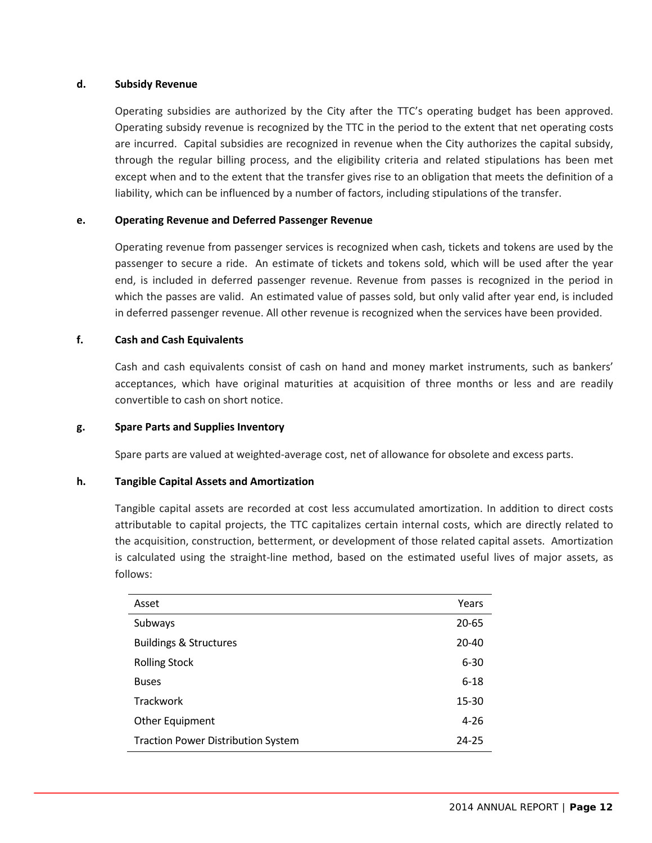#### **d. Subsidy Revenue**

Operating subsidies are authorized by the City after the TTC's operating budget has been approved. Operating subsidy revenue is recognized by the TTC in the period to the extent that net operating costs are incurred. Capital subsidies are recognized in revenue when the City authorizes the capital subsidy, through the regular billing process, and the eligibility criteria and related stipulations has been met except when and to the extent that the transfer gives rise to an obligation that meets the definition of a liability, which can be influenced by a number of factors, including stipulations of the transfer.

### **e. Operating Revenue and Deferred Passenger Revenue**

Operating revenue from passenger services is recognized when cash, tickets and tokens are used by the passenger to secure a ride. An estimate of tickets and tokens sold, which will be used after the year end, is included in deferred passenger revenue. Revenue from passes is recognized in the period in which the passes are valid. An estimated value of passes sold, but only valid after year end, is included in deferred passenger revenue. All other revenue is recognized when the services have been provided.

### **f. Cash and Cash Equivalents**

Cash and cash equivalents consist of cash on hand and money market instruments, such as bankers' acceptances, which have original maturities at acquisition of three months or less and are readily convertible to cash on short notice.

#### **g. Spare Parts and Supplies Inventory**

Spare parts are valued at weighted-average cost, net of allowance for obsolete and excess parts.

#### **h. Tangible Capital Assets and Amortization**

Tangible capital assets are recorded at cost less accumulated amortization. In addition to direct costs attributable to capital projects, the TTC capitalizes certain internal costs, which are directly related to the acquisition, construction, betterment, or development of those related capital assets. Amortization is calculated using the straight-line method, based on the estimated useful lives of major assets, as follows:

| Asset                                     | Years     |
|-------------------------------------------|-----------|
| Subways                                   | $20 - 65$ |
| <b>Buildings &amp; Structures</b>         | $20 - 40$ |
| <b>Rolling Stock</b>                      | $6 - 30$  |
| <b>Buses</b>                              | $6 - 18$  |
| <b>Trackwork</b>                          | 15-30     |
| Other Equipment                           | $4 - 26$  |
| <b>Traction Power Distribution System</b> | $24 - 25$ |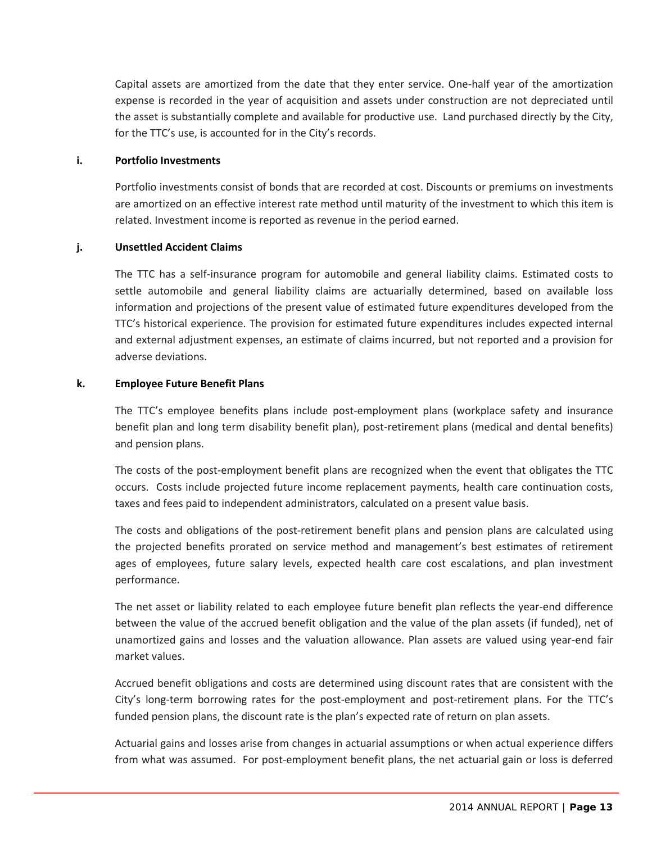Capital assets are amortized from the date that they enter service. One-half year of the amortization expense is recorded in the year of acquisition and assets under construction are not depreciated until the asset is substantially complete and available for productive use. Land purchased directly by the City, for the TTC's use, is accounted for in the City's records.

#### **i. Portfolio Investments**

Portfolio investments consist of bonds that are recorded at cost. Discounts or premiums on investments are amortized on an effective interest rate method until maturity of the investment to which this item is related. Investment income is reported as revenue in the period earned.

### **j. Unsettled Accident Claims**

The TTC has a self-insurance program for automobile and general liability claims. Estimated costs to settle automobile and general liability claims are actuarially determined, based on available loss information and projections of the present value of estimated future expenditures developed from the TTC's historical experience. The provision for estimated future expenditures includes expected internal and external adjustment expenses, an estimate of claims incurred, but not reported and a provision for adverse deviations.

#### **k. Employee Future Benefit Plans**

The TTC's employee benefits plans include post-employment plans (workplace safety and insurance benefit plan and long term disability benefit plan), post-retirement plans (medical and dental benefits) and pension plans.

The costs of the post-employment benefit plans are recognized when the event that obligates the TTC occurs. Costs include projected future income replacement payments, health care continuation costs, taxes and fees paid to independent administrators, calculated on a present value basis.

The costs and obligations of the post-retirement benefit plans and pension plans are calculated using the projected benefits prorated on service method and management's best estimates of retirement ages of employees, future salary levels, expected health care cost escalations, and plan investment performance.

The net asset or liability related to each employee future benefit plan reflects the year-end difference between the value of the accrued benefit obligation and the value of the plan assets (if funded), net of unamortized gains and losses and the valuation allowance. Plan assets are valued using year-end fair market values.

Accrued benefit obligations and costs are determined using discount rates that are consistent with the City's long-term borrowing rates for the post-employment and post-retirement plans. For the TTC's funded pension plans, the discount rate is the plan's expected rate of return on plan assets.

Actuarial gains and losses arise from changes in actuarial assumptions or when actual experience differs from what was assumed. For post-employment benefit plans, the net actuarial gain or loss is deferred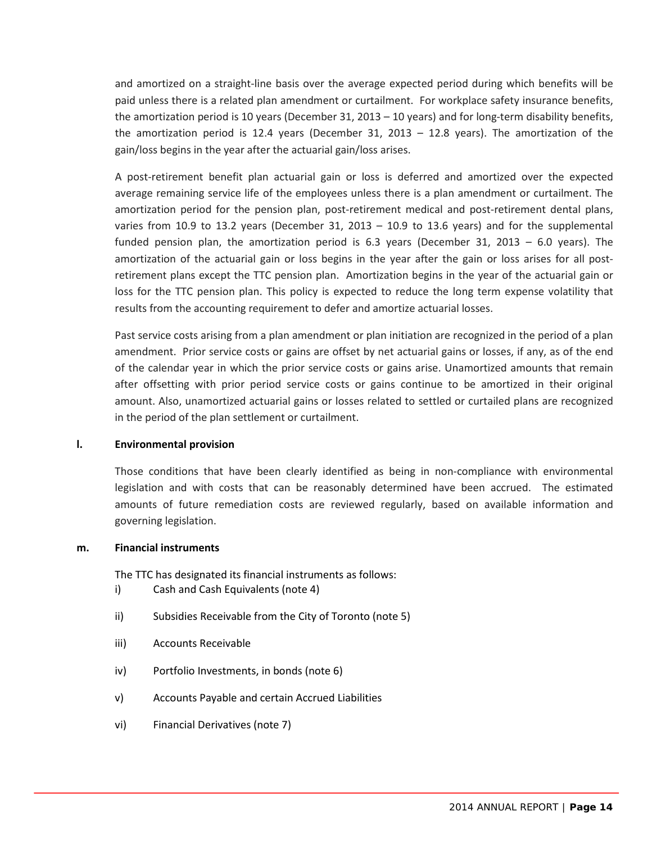and amortized on a straight-line basis over the average expected period during which benefits will be paid unless there is a related plan amendment or curtailment. For workplace safety insurance benefits, the amortization period is 10 years (December 31, 2013 – 10 years) and for long-term disability benefits, the amortization period is 12.4 years (December 31, 2013 – 12.8 years). The amortization of the gain/loss begins in the year after the actuarial gain/loss arises.

A post-retirement benefit plan actuarial gain or loss is deferred and amortized over the expected average remaining service life of the employees unless there is a plan amendment or curtailment. The amortization period for the pension plan, post-retirement medical and post-retirement dental plans, varies from 10.9 to 13.2 years (December 31, 2013 – 10.9 to 13.6 years) and for the supplemental funded pension plan, the amortization period is 6.3 years (December 31, 2013 – 6.0 years). The amortization of the actuarial gain or loss begins in the year after the gain or loss arises for all postretirement plans except the TTC pension plan. Amortization begins in the year of the actuarial gain or loss for the TTC pension plan. This policy is expected to reduce the long term expense volatility that results from the accounting requirement to defer and amortize actuarial losses.

Past service costs arising from a plan amendment or plan initiation are recognized in the period of a plan amendment. Prior service costs or gains are offset by net actuarial gains or losses, if any, as of the end of the calendar year in which the prior service costs or gains arise. Unamortized amounts that remain after offsetting with prior period service costs or gains continue to be amortized in their original amount. Also, unamortized actuarial gains or losses related to settled or curtailed plans are recognized in the period of the plan settlement or curtailment.

### **l. Environmental provision**

Those conditions that have been clearly identified as being in non-compliance with environmental legislation and with costs that can be reasonably determined have been accrued. The estimated amounts of future remediation costs are reviewed regularly, based on available information and governing legislation.

### **m. Financial instruments**

The TTC has designated its financial instruments as follows:

- i) Cash and Cash Equivalents (note 4)
- ii) Subsidies Receivable from the City of Toronto (note 5)
- iii) Accounts Receivable
- iv) Portfolio Investments, in bonds (note 6)
- v) Accounts Payable and certain Accrued Liabilities
- vi) Financial Derivatives (note 7)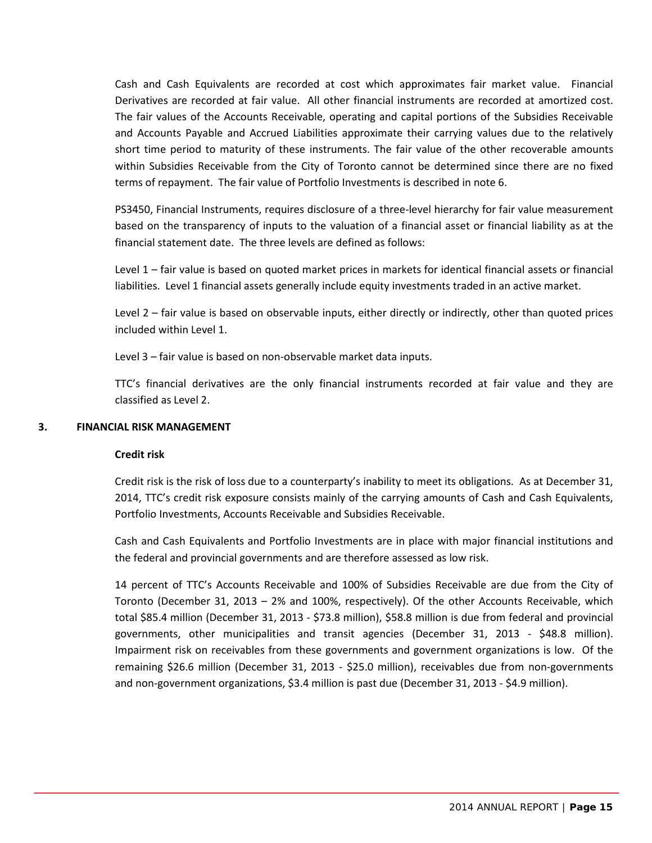Cash and Cash Equivalents are recorded at cost which approximates fair market value. Financial Derivatives are recorded at fair value. All other financial instruments are recorded at amortized cost. The fair values of the Accounts Receivable, operating and capital portions of the Subsidies Receivable and Accounts Payable and Accrued Liabilities approximate their carrying values due to the relatively short time period to maturity of these instruments. The fair value of the other recoverable amounts within Subsidies Receivable from the City of Toronto cannot be determined since there are no fixed terms of repayment. The fair value of Portfolio Investments is described in note 6.

PS3450, Financial Instruments, requires disclosure of a three-level hierarchy for fair value measurement based on the transparency of inputs to the valuation of a financial asset or financial liability as at the financial statement date. The three levels are defined as follows:

Level 1 – fair value is based on quoted market prices in markets for identical financial assets or financial liabilities. Level 1 financial assets generally include equity investments traded in an active market.

Level 2 – fair value is based on observable inputs, either directly or indirectly, other than quoted prices included within Level 1.

Level 3 – fair value is based on non-observable market data inputs.

TTC's financial derivatives are the only financial instruments recorded at fair value and they are classified as Level 2.

#### **3. FINANCIAL RISK MANAGEMENT**

#### **Credit risk**

Credit risk is the risk of loss due to a counterparty's inability to meet its obligations. As at December 31, 2014, TTC's credit risk exposure consists mainly of the carrying amounts of Cash and Cash Equivalents, Portfolio Investments, Accounts Receivable and Subsidies Receivable.

Cash and Cash Equivalents and Portfolio Investments are in place with major financial institutions and the federal and provincial governments and are therefore assessed as low risk.

14 percent of TTC's Accounts Receivable and 100% of Subsidies Receivable are due from the City of Toronto (December 31, 2013 – 2% and 100%, respectively). Of the other Accounts Receivable, which total \$85.4 million (December 31, 2013 - \$73.8 million), \$58.8 million is due from federal and provincial governments, other municipalities and transit agencies (December 31, 2013 - \$48.8 million). Impairment risk on receivables from these governments and government organizations is low. Of the remaining \$26.6 million (December 31, 2013 - \$25.0 million), receivables due from non-governments and non-government organizations, \$3.4 million is past due (December 31, 2013 - \$4.9 million).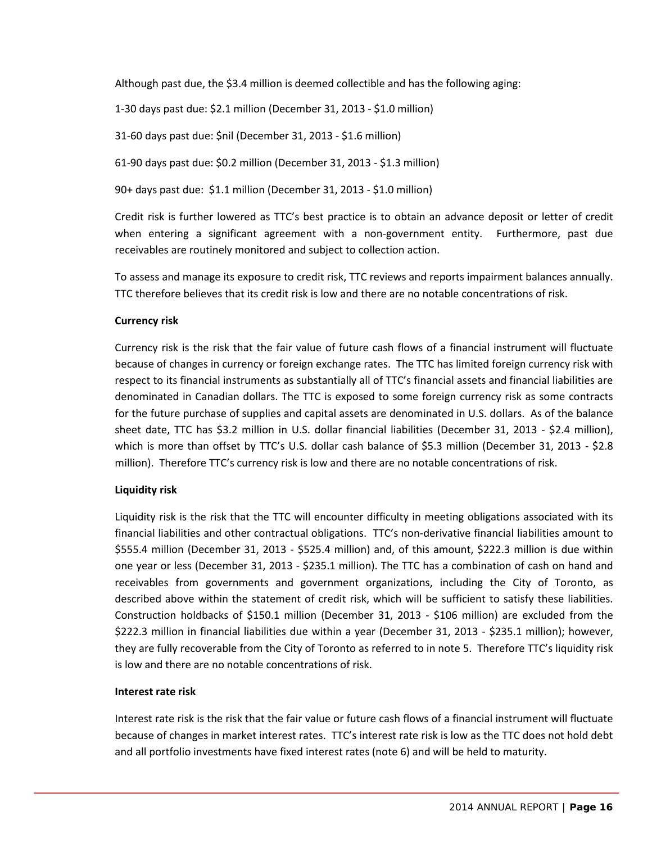Although past due, the \$3.4 million is deemed collectible and has the following aging:

1-30 days past due: \$2.1 million (December 31, 2013 - \$1.0 million)

31-60 days past due: \$nil (December 31, 2013 - \$1.6 million)

61-90 days past due: \$0.2 million (December 31, 2013 - \$1.3 million)

90+ days past due: \$1.1 million (December 31, 2013 - \$1.0 million)

Credit risk is further lowered as TTC's best practice is to obtain an advance deposit or letter of credit when entering a significant agreement with a non-government entity. Furthermore, past due receivables are routinely monitored and subject to collection action.

To assess and manage its exposure to credit risk, TTC reviews and reports impairment balances annually. TTC therefore believes that its credit risk is low and there are no notable concentrations of risk.

#### **Currency risk**

Currency risk is the risk that the fair value of future cash flows of a financial instrument will fluctuate because of changes in currency or foreign exchange rates. The TTC has limited foreign currency risk with respect to its financial instruments as substantially all of TTC's financial assets and financial liabilities are denominated in Canadian dollars. The TTC is exposed to some foreign currency risk as some contracts for the future purchase of supplies and capital assets are denominated in U.S. dollars. As of the balance sheet date, TTC has \$3.2 million in U.S. dollar financial liabilities (December 31, 2013 - \$2.4 million), which is more than offset by TTC's U.S. dollar cash balance of \$5.3 million (December 31, 2013 - \$2.8 million). Therefore TTC's currency risk is low and there are no notable concentrations of risk.

### **Liquidity risk**

Liquidity risk is the risk that the TTC will encounter difficulty in meeting obligations associated with its financial liabilities and other contractual obligations. TTC's non-derivative financial liabilities amount to \$555.4 million (December 31, 2013 - \$525.4 million) and, of this amount, \$222.3 million is due within one year or less (December 31, 2013 - \$235.1 million). The TTC has a combination of cash on hand and receivables from governments and government organizations, including the City of Toronto, as described above within the statement of credit risk, which will be sufficient to satisfy these liabilities. Construction holdbacks of \$150.1 million (December 31, 2013 - \$106 million) are excluded from the \$222.3 million in financial liabilities due within a year (December 31, 2013 - \$235.1 million); however, they are fully recoverable from the City of Toronto as referred to in note 5. Therefore TTC's liquidity risk is low and there are no notable concentrations of risk.

#### **Interest rate risk**

Interest rate risk is the risk that the fair value or future cash flows of a financial instrument will fluctuate because of changes in market interest rates. TTC's interest rate risk is low as the TTC does not hold debt and all portfolio investments have fixed interest rates (note 6) and will be held to maturity.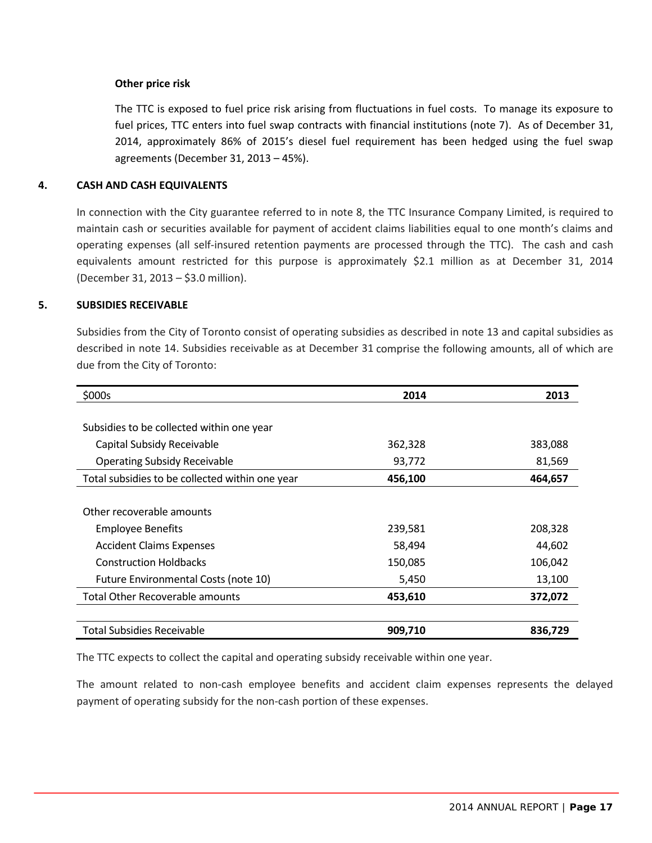#### **Other price risk**

The TTC is exposed to fuel price risk arising from fluctuations in fuel costs. To manage its exposure to fuel prices, TTC enters into fuel swap contracts with financial institutions (note 7). As of December 31, 2014, approximately 86% of 2015's diesel fuel requirement has been hedged using the fuel swap agreements (December 31, 2013 – 45%).

#### **4. CASH AND CASH EQUIVALENTS**

In connection with the City guarantee referred to in note 8, the TTC Insurance Company Limited, is required to maintain cash or securities available for payment of accident claims liabilities equal to one month's claims and operating expenses (all self-insured retention payments are processed through the TTC). The cash and cash equivalents amount restricted for this purpose is approximately \$2.1 million as at December 31, 2014 (December 31, 2013 – \$3.0 million).

### **5. SUBSIDIES RECEIVABLE**

Subsidies from the City of Toronto consist of operating subsidies as described in note 13 and capital subsidies as described in note 14. Subsidies receivable as at December 31 comprise the following amounts, all of which are due from the City of Toronto:

| \$000s                                          | 2014    | 2013    |
|-------------------------------------------------|---------|---------|
|                                                 |         |         |
| Subsidies to be collected within one year       |         |         |
| Capital Subsidy Receivable                      | 362,328 | 383,088 |
| <b>Operating Subsidy Receivable</b>             | 93,772  | 81,569  |
| Total subsidies to be collected within one year | 456,100 | 464,657 |
|                                                 |         |         |
| Other recoverable amounts                       |         |         |
| Employee Benefits                               | 239,581 | 208,328 |
| <b>Accident Claims Expenses</b>                 | 58,494  | 44,602  |
| <b>Construction Holdbacks</b>                   | 150,085 | 106,042 |
| Future Environmental Costs (note 10)            | 5,450   | 13,100  |
| Total Other Recoverable amounts                 | 453,610 | 372,072 |
| <b>Total Subsidies Receivable</b>               | 909,710 | 836,729 |

The TTC expects to collect the capital and operating subsidy receivable within one year.

The amount related to non-cash employee benefits and accident claim expenses represents the delayed payment of operating subsidy for the non-cash portion of these expenses.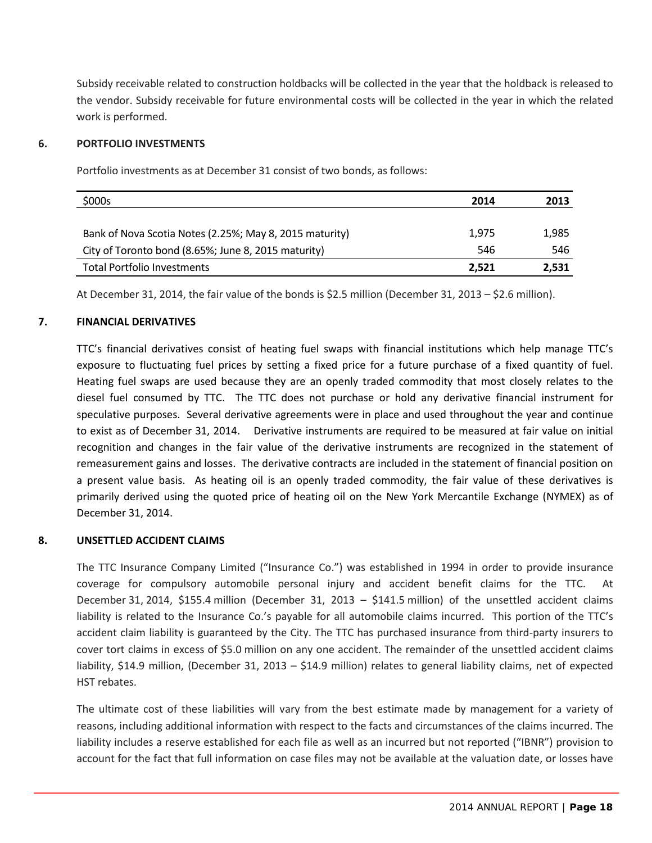Subsidy receivable related to construction holdbacks will be collected in the year that the holdback is released to the vendor. Subsidy receivable for future environmental costs will be collected in the year in which the related work is performed.

#### **6. PORTFOLIO INVESTMENTS**

Portfolio investments as at December 31 consist of two bonds, as follows:

| \$000s                                                  | 2014  | 2013  |
|---------------------------------------------------------|-------|-------|
|                                                         |       |       |
| Bank of Nova Scotia Notes (2.25%; May 8, 2015 maturity) | 1,975 | 1,985 |
| City of Toronto bond (8.65%; June 8, 2015 maturity)     | 546   | 546   |
| <b>Total Portfolio Investments</b>                      | 2.521 | 2,531 |

At December 31, 2014, the fair value of the bonds is \$2.5 million (December 31, 2013 – \$2.6 million).

### **7. FINANCIAL DERIVATIVES**

TTC's financial derivatives consist of heating fuel swaps with financial institutions which help manage TTC's exposure to fluctuating fuel prices by setting a fixed price for a future purchase of a fixed quantity of fuel. Heating fuel swaps are used because they are an openly traded commodity that most closely relates to the diesel fuel consumed by TTC. The TTC does not purchase or hold any derivative financial instrument for speculative purposes. Several derivative agreements were in place and used throughout the year and continue to exist as of December 31, 2014. Derivative instruments are required to be measured at fair value on initial recognition and changes in the fair value of the derivative instruments are recognized in the statement of remeasurement gains and losses. The derivative contracts are included in the statement of financial position on a present value basis. As heating oil is an openly traded commodity, the fair value of these derivatives is primarily derived using the quoted price of heating oil on the New York Mercantile Exchange (NYMEX) as of December 31, 2014.

### **8. UNSETTLED ACCIDENT CLAIMS**

The TTC Insurance Company Limited ("Insurance Co.") was established in 1994 in order to provide insurance coverage for compulsory automobile personal injury and accident benefit claims for the TTC. At December 31, 2014, \$155.4 million (December 31, 2013 – \$141.5 million) of the unsettled accident claims liability is related to the Insurance Co.'s payable for all automobile claims incurred. This portion of the TTC's accident claim liability is guaranteed by the City. The TTC has purchased insurance from third-party insurers to cover tort claims in excess of \$5.0 million on any one accident. The remainder of the unsettled accident claims liability, \$14.9 million, (December 31, 2013 – \$14.9 million) relates to general liability claims, net of expected HST rebates.

The ultimate cost of these liabilities will vary from the best estimate made by management for a variety of reasons, including additional information with respect to the facts and circumstances of the claims incurred. The liability includes a reserve established for each file as well as an incurred but not reported ("IBNR") provision to account for the fact that full information on case files may not be available at the valuation date, or losses have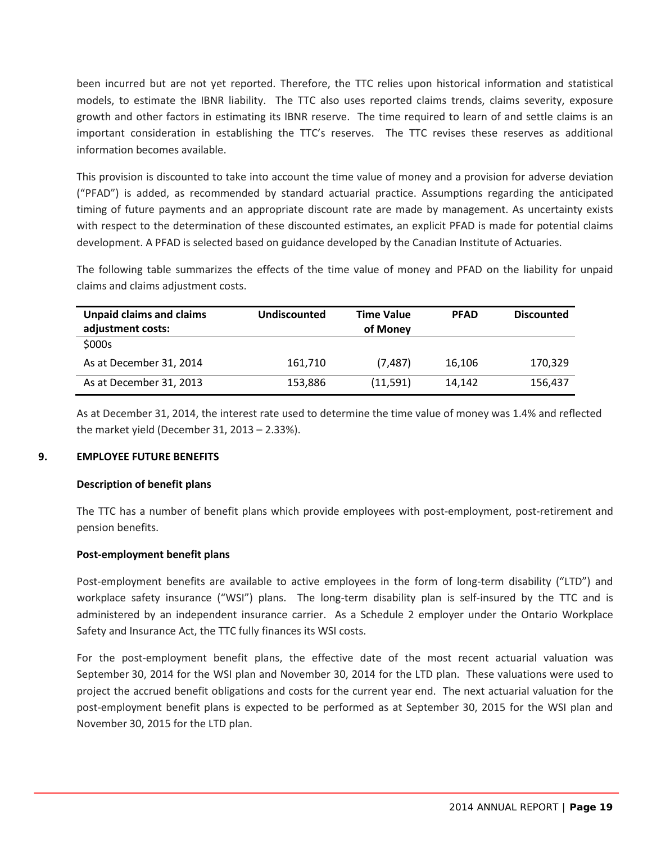been incurred but are not yet reported. Therefore, the TTC relies upon historical information and statistical models, to estimate the IBNR liability. The TTC also uses reported claims trends, claims severity, exposure growth and other factors in estimating its IBNR reserve. The time required to learn of and settle claims is an important consideration in establishing the TTC's reserves. The TTC revises these reserves as additional information becomes available.

This provision is discounted to take into account the time value of money and a provision for adverse deviation ("PFAD") is added, as recommended by standard actuarial practice. Assumptions regarding the anticipated timing of future payments and an appropriate discount rate are made by management. As uncertainty exists with respect to the determination of these discounted estimates, an explicit PFAD is made for potential claims development. A PFAD is selected based on guidance developed by the Canadian Institute of Actuaries.

The following table summarizes the effects of the time value of money and PFAD on the liability for unpaid claims and claims adjustment costs.

| <b>Unpaid claims and claims</b><br>adjustment costs: | <b>Undiscounted</b> | <b>Time Value</b><br>of Money | <b>PFAD</b> | <b>Discounted</b> |
|------------------------------------------------------|---------------------|-------------------------------|-------------|-------------------|
| \$000s                                               |                     |                               |             |                   |
| As at December 31, 2014                              | 161,710             | (7, 487)                      | 16.106      | 170,329           |
| As at December 31, 2013                              | 153,886             | (11,591)                      | 14.142      | 156,437           |

As at December 31, 2014, the interest rate used to determine the time value of money was 1.4% and reflected the market yield (December 31, 2013 – 2.33%).

### **9. EMPLOYEE FUTURE BENEFITS**

### **Description of benefit plans**

The TTC has a number of benefit plans which provide employees with post-employment, post-retirement and pension benefits.

### **Post-employment benefit plans**

Post-employment benefits are available to active employees in the form of long-term disability ("LTD") and workplace safety insurance ("WSI") plans. The long-term disability plan is self-insured by the TTC and is administered by an independent insurance carrier. As a Schedule 2 employer under the Ontario Workplace Safety and Insurance Act, the TTC fully finances its WSI costs.

For the post-employment benefit plans, the effective date of the most recent actuarial valuation was September 30, 2014 for the WSI plan and November 30, 2014 for the LTD plan. These valuations were used to project the accrued benefit obligations and costs for the current year end. The next actuarial valuation for the post-employment benefit plans is expected to be performed as at September 30, 2015 for the WSI plan and November 30, 2015 for the LTD plan.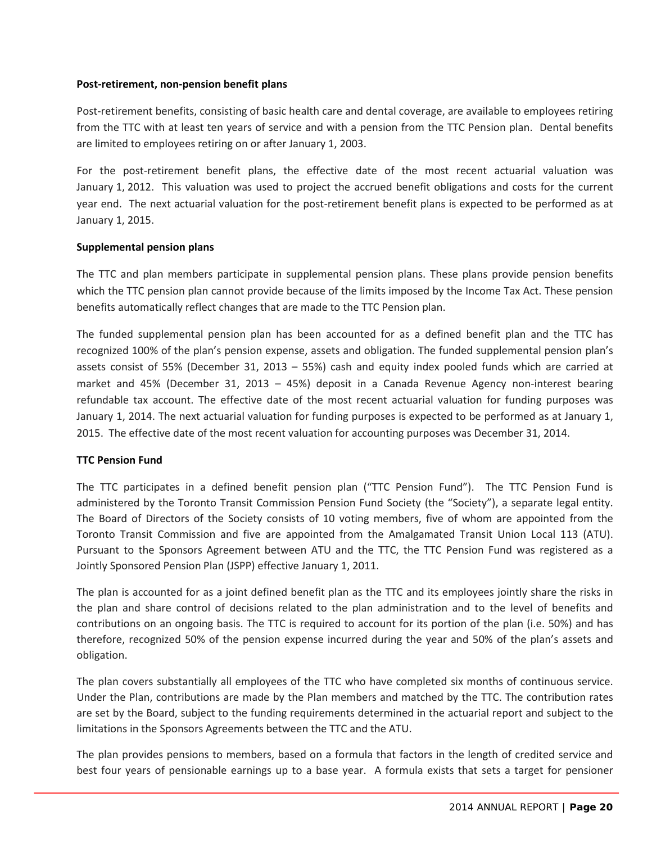#### **Post-retirement, non-pension benefit plans**

Post-retirement benefits, consisting of basic health care and dental coverage, are available to employees retiring from the TTC with at least ten years of service and with a pension from the TTC Pension plan. Dental benefits are limited to employees retiring on or after January 1, 2003.

For the post-retirement benefit plans, the effective date of the most recent actuarial valuation was January 1, 2012. This valuation was used to project the accrued benefit obligations and costs for the current year end. The next actuarial valuation for the post-retirement benefit plans is expected to be performed as at January 1, 2015.

#### **Supplemental pension plans**

The TTC and plan members participate in supplemental pension plans. These plans provide pension benefits which the TTC pension plan cannot provide because of the limits imposed by the Income Tax Act. These pension benefits automatically reflect changes that are made to the TTC Pension plan.

The funded supplemental pension plan has been accounted for as a defined benefit plan and the TTC has recognized 100% of the plan's pension expense, assets and obligation. The funded supplemental pension plan's assets consist of 55% (December 31, 2013 – 55%) cash and equity index pooled funds which are carried at market and 45% (December 31, 2013 – 45%) deposit in a Canada Revenue Agency non-interest bearing refundable tax account. The effective date of the most recent actuarial valuation for funding purposes was January 1, 2014. The next actuarial valuation for funding purposes is expected to be performed as at January 1, 2015. The effective date of the most recent valuation for accounting purposes was December 31, 2014.

### **TTC Pension Fund**

The TTC participates in a defined benefit pension plan ("TTC Pension Fund"). The TTC Pension Fund is administered by the Toronto Transit Commission Pension Fund Society (the "Society"), a separate legal entity. The Board of Directors of the Society consists of 10 voting members, five of whom are appointed from the Toronto Transit Commission and five are appointed from the Amalgamated Transit Union Local 113 (ATU). Pursuant to the Sponsors Agreement between ATU and the TTC, the TTC Pension Fund was registered as a Jointly Sponsored Pension Plan (JSPP) effective January 1, 2011.

The plan is accounted for as a joint defined benefit plan as the TTC and its employees jointly share the risks in the plan and share control of decisions related to the plan administration and to the level of benefits and contributions on an ongoing basis. The TTC is required to account for its portion of the plan (i.e. 50%) and has therefore, recognized 50% of the pension expense incurred during the year and 50% of the plan's assets and obligation.

The plan covers substantially all employees of the TTC who have completed six months of continuous service. Under the Plan, contributions are made by the Plan members and matched by the TTC. The contribution rates are set by the Board, subject to the funding requirements determined in the actuarial report and subject to the limitations in the Sponsors Agreements between the TTC and the ATU.

The plan provides pensions to members, based on a formula that factors in the length of credited service and best four years of pensionable earnings up to a base year. A formula exists that sets a target for pensioner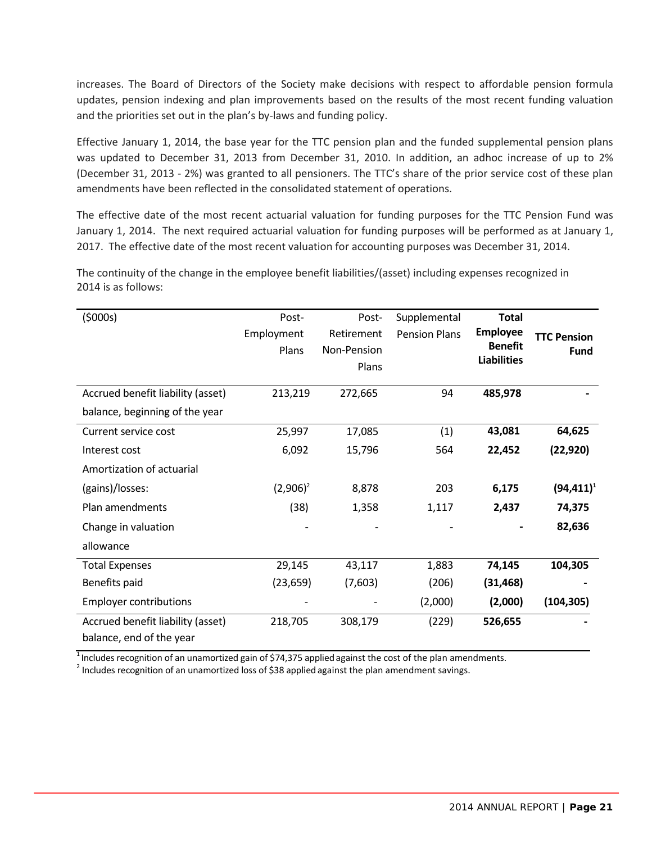increases. The Board of Directors of the Society make decisions with respect to affordable pension formula updates, pension indexing and plan improvements based on the results of the most recent funding valuation and the priorities set out in the plan's by-laws and funding policy.

Effective January 1, 2014, the base year for the TTC pension plan and the funded supplemental pension plans was updated to December 31, 2013 from December 31, 2010. In addition, an adhoc increase of up to 2% (December 31, 2013 - 2%) was granted to all pensioners. The TTC's share of the prior service cost of these plan amendments have been reflected in the consolidated statement of operations.

The effective date of the most recent actuarial valuation for funding purposes for the TTC Pension Fund was January 1, 2014. The next required actuarial valuation for funding purposes will be performed as at January 1, 2017. The effective date of the most recent valuation for accounting purposes was December 31, 2014.

| (5000s)                           | Post-<br>Employment | Post-<br>Retirement  | Supplemental<br><b>Pension Plans</b> | <b>Total</b><br><b>Employee</b><br><b>Benefit</b> | <b>TTC Pension</b> |
|-----------------------------------|---------------------|----------------------|--------------------------------------|---------------------------------------------------|--------------------|
|                                   | Plans               | Non-Pension<br>Plans |                                      | <b>Liabilities</b>                                | <b>Fund</b>        |
| Accrued benefit liability (asset) | 213,219             | 272,665              | 94                                   | 485,978                                           |                    |
| balance, beginning of the year    |                     |                      |                                      |                                                   |                    |
| Current service cost              | 25,997              | 17,085               | (1)                                  | 43,081                                            | 64,625             |
| Interest cost                     | 6,092               | 15,796               | 564                                  | 22,452                                            | (22, 920)          |
| Amortization of actuarial         |                     |                      |                                      |                                                   |                    |
| (gains)/losses:                   | $(2,906)^2$         | 8,878                | 203                                  | 6,175                                             | $(94, 411)^1$      |
| Plan amendments                   | (38)                | 1,358                | 1,117                                | 2,437                                             | 74,375             |
| Change in valuation               |                     |                      |                                      |                                                   | 82,636             |
| allowance                         |                     |                      |                                      |                                                   |                    |
| <b>Total Expenses</b>             | 29,145              | 43,117               | 1,883                                | 74,145                                            | 104,305            |
| Benefits paid                     | (23, 659)           | (7,603)              | (206)                                | (31, 468)                                         |                    |
| <b>Employer contributions</b>     |                     |                      | (2,000)                              | (2,000)                                           | (104, 305)         |
| Accrued benefit liability (asset) | 218,705             | 308,179              | (229)                                | 526,655                                           |                    |
| balance, end of the year          |                     |                      |                                      |                                                   |                    |

The continuity of the change in the employee benefit liabilities/(asset) including expenses recognized in 2014 is as follows:

<sup>1</sup> Includes recognition of an unamortized gain of \$74,375 applied against the cost of the plan amendments.<br><sup>2</sup> Includes recognition of an unamortized loss of \$38 applied against the plan amendment savings.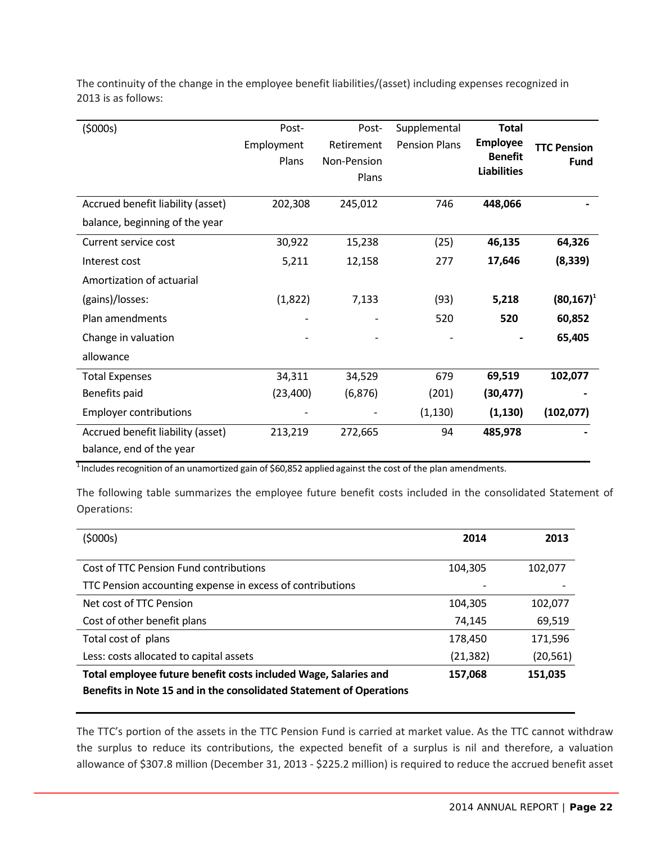The continuity of the change in the employee benefit liabilities/(asset) including expenses recognized in 2013 is as follows:

| (5000s)                           | Post-      | Post-       | Supplemental         | <b>Total</b>       |                    |
|-----------------------------------|------------|-------------|----------------------|--------------------|--------------------|
|                                   | Employment | Retirement  | <b>Pension Plans</b> | <b>Employee</b>    | <b>TTC Pension</b> |
|                                   | Plans      | Non-Pension |                      | <b>Benefit</b>     | <b>Fund</b>        |
|                                   |            | Plans       |                      | <b>Liabilities</b> |                    |
| Accrued benefit liability (asset) | 202,308    | 245,012     | 746                  | 448,066            |                    |
| balance, beginning of the year    |            |             |                      |                    |                    |
| Current service cost              | 30,922     | 15,238      | (25)                 | 46,135             | 64,326             |
| Interest cost                     | 5,211      | 12,158      | 277                  | 17,646             | (8, 339)           |
| Amortization of actuarial         |            |             |                      |                    |                    |
| (gains)/losses:                   | (1,822)    | 7,133       | (93)                 | 5,218              | $(80, 167)^1$      |
| Plan amendments                   |            |             | 520                  | 520                | 60,852             |
| Change in valuation               |            |             |                      |                    | 65,405             |
| allowance                         |            |             |                      |                    |                    |
| <b>Total Expenses</b>             | 34,311     | 34,529      | 679                  | 69,519             | 102,077            |
| Benefits paid                     | (23, 400)  | (6, 876)    | (201)                | (30, 477)          |                    |
| <b>Employer contributions</b>     |            |             | (1, 130)             | (1, 130)           | (102, 077)         |
| Accrued benefit liability (asset) | 213,219    | 272,665     | 94                   | 485,978            |                    |
| balance, end of the year          |            |             |                      |                    |                    |

<sup>1</sup> Includes recognition of an unamortized gain of \$60,852 applied against the cost of the plan amendments.

The following table summarizes the employee future benefit costs included in the consolidated Statement of Operations:

| (5000s)                                                                                                                                | 2014      | 2013      |
|----------------------------------------------------------------------------------------------------------------------------------------|-----------|-----------|
| Cost of TTC Pension Fund contributions                                                                                                 | 104,305   | 102,077   |
| TTC Pension accounting expense in excess of contributions                                                                              |           |           |
| Net cost of TTC Pension                                                                                                                | 104,305   | 102,077   |
| Cost of other benefit plans                                                                                                            | 74,145    | 69,519    |
| Total cost of plans                                                                                                                    | 178,450   | 171,596   |
| Less: costs allocated to capital assets                                                                                                | (21, 382) | (20, 561) |
| Total employee future benefit costs included Wage, Salaries and<br>Benefits in Note 15 and in the consolidated Statement of Operations | 157,068   | 151,035   |

The TTC's portion of the assets in the TTC Pension Fund is carried at market value. As the TTC cannot withdraw the surplus to reduce its contributions, the expected benefit of a surplus is nil and therefore, a valuation allowance of \$307.8 million (December 31, 2013 - \$225.2 million) is required to reduce the accrued benefit asset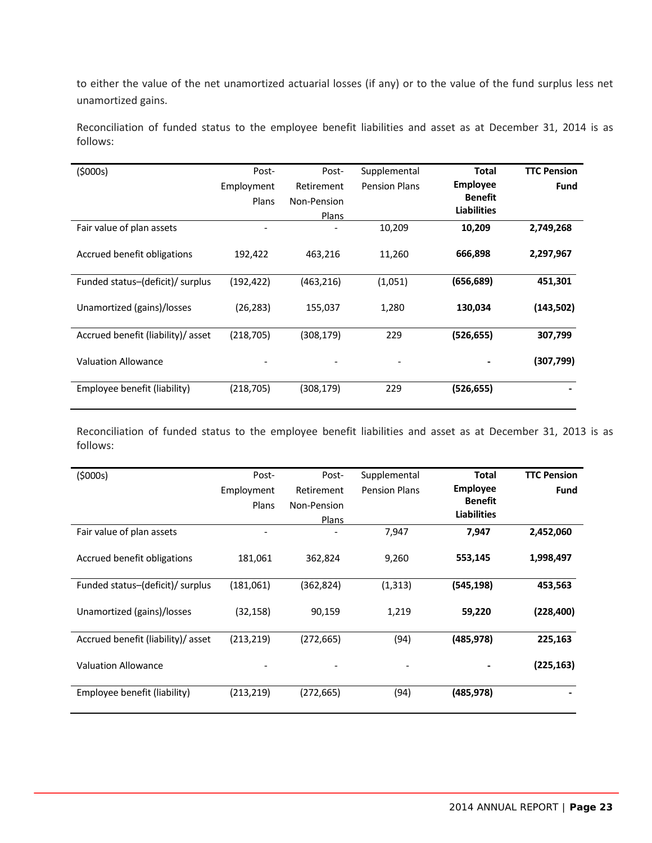to either the value of the net unamortized actuarial losses (if any) or to the value of the fund surplus less net unamortized gains.

Reconciliation of funded status to the employee benefit liabilities and asset as at December 31, 2014 is as follows:

| (5000s)                            | Post-      | Post-       | Supplemental         | Total              | <b>TTC Pension</b> |
|------------------------------------|------------|-------------|----------------------|--------------------|--------------------|
|                                    | Employment | Retirement  | <b>Pension Plans</b> | <b>Employee</b>    | <b>Fund</b>        |
|                                    | Plans      | Non-Pension |                      | <b>Benefit</b>     |                    |
|                                    |            | Plans       |                      | <b>Liabilities</b> |                    |
| Fair value of plan assets          |            |             | 10,209               | 10,209             | 2,749,268          |
| Accrued benefit obligations        | 192,422    | 463,216     | 11,260               | 666,898            | 2,297,967          |
| Funded status-(deficit)/ surplus   | (192, 422) | (463, 216)  | (1,051)              | (656,689)          | 451,301            |
| Unamortized (gains)/losses         | (26,283)   | 155,037     | 1,280                | 130,034            | (143,502)          |
| Accrued benefit (liability)/ asset | (218, 705) | (308,179)   | 229                  | (526, 655)         | 307,799            |
| <b>Valuation Allowance</b>         |            |             |                      |                    | (307,799)          |
| Employee benefit (liability)       | (218, 705) | (308,179)   | 229                  | (526, 655)         |                    |

Reconciliation of funded status to the employee benefit liabilities and asset as at December 31, 2013 is as follows:

| (\$000s)                           | Post-      | Post-       | Supplemental         | Total              | <b>TTC Pension</b> |
|------------------------------------|------------|-------------|----------------------|--------------------|--------------------|
|                                    | Employment | Retirement  | <b>Pension Plans</b> | <b>Employee</b>    | <b>Fund</b>        |
|                                    | Plans      | Non-Pension |                      | <b>Benefit</b>     |                    |
|                                    |            | Plans       |                      | <b>Liabilities</b> |                    |
| Fair value of plan assets          |            |             | 7,947                | 7,947              | 2,452,060          |
| Accrued benefit obligations        | 181,061    | 362,824     | 9,260                | 553,145            | 1,998,497          |
| Funded status-(deficit)/ surplus   | (181,061)  | (362, 824)  | (1, 313)             | (545, 198)         | 453,563            |
| Unamortized (gains)/losses         | (32, 158)  | 90,159      | 1,219                | 59,220             | (228, 400)         |
| Accrued benefit (liability)/ asset | (213, 219) | (272, 665)  | (94)                 | (485, 978)         | 225,163            |
| <b>Valuation Allowance</b>         |            |             |                      |                    | (225, 163)         |
| Employee benefit (liability)       | (213, 219) | (272, 665)  | (94)                 | (485, 978)         |                    |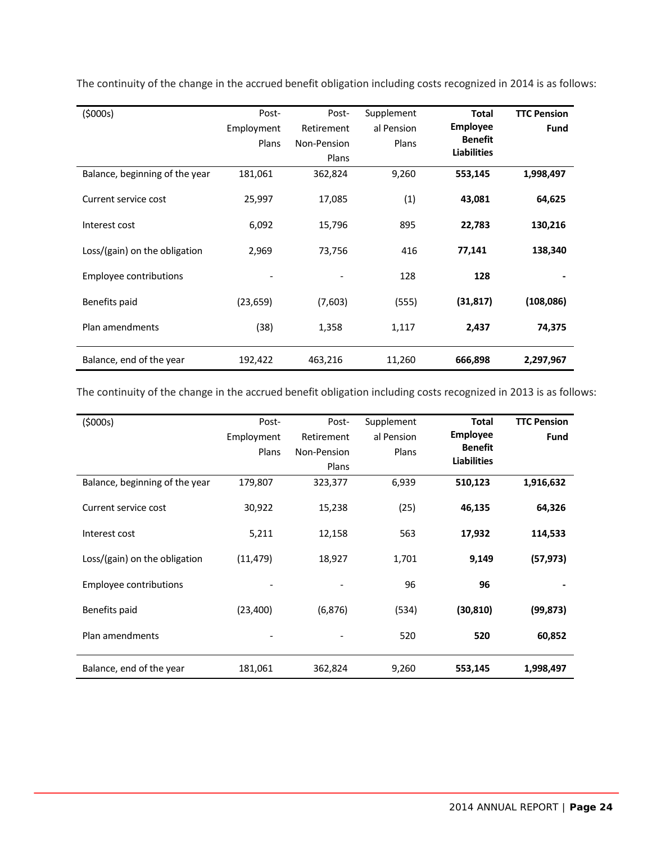| (\$000s)                       | Post-      | Post-       | Supplement | Total              | <b>TTC Pension</b> |
|--------------------------------|------------|-------------|------------|--------------------|--------------------|
|                                | Employment | Retirement  | al Pension | <b>Employee</b>    | <b>Fund</b>        |
|                                | Plans      | Non-Pension | Plans      | <b>Benefit</b>     |                    |
|                                |            | Plans       |            | <b>Liabilities</b> |                    |
| Balance, beginning of the year | 181,061    | 362,824     | 9,260      | 553,145            | 1,998,497          |
| Current service cost           | 25,997     | 17,085      | (1)        | 43,081             | 64,625             |
| Interest cost                  | 6,092      | 15,796      | 895        | 22,783             | 130,216            |
| Loss/(gain) on the obligation  | 2,969      | 73,756      | 416        | 77,141             | 138,340            |
| <b>Employee contributions</b>  |            |             | 128        | 128                |                    |
| Benefits paid                  | (23, 659)  | (7,603)     | (555)      | (31, 817)          | (108, 086)         |
| Plan amendments                | (38)       | 1,358       | 1,117      | 2,437              | 74,375             |
| Balance, end of the year       | 192,422    | 463,216     | 11,260     | 666,898            | 2,297,967          |

The continuity of the change in the accrued benefit obligation including costs recognized in 2014 is as follows:

The continuity of the change in the accrued benefit obligation including costs recognized in 2013 is as follows:

| (5000s)                        | Post-      | Post-       | Supplement | Total              | <b>TTC Pension</b> |
|--------------------------------|------------|-------------|------------|--------------------|--------------------|
|                                | Employment | Retirement  | al Pension | <b>Employee</b>    | <b>Fund</b>        |
|                                | Plans      | Non-Pension | Plans      | <b>Benefit</b>     |                    |
|                                |            | Plans       |            | <b>Liabilities</b> |                    |
| Balance, beginning of the year | 179,807    | 323,377     | 6,939      | 510,123            | 1,916,632          |
| Current service cost           | 30,922     | 15,238      | (25)       | 46,135             | 64,326             |
| Interest cost                  | 5,211      | 12,158      | 563        | 17,932             | 114,533            |
| Loss/(gain) on the obligation  | (11, 479)  | 18,927      | 1,701      | 9,149              | (57, 973)          |
| Employee contributions         |            |             | 96         | 96                 |                    |
| Benefits paid                  | (23, 400)  | (6, 876)    | (534)      | (30, 810)          | (99, 873)          |
| Plan amendments                |            |             | 520        | 520                | 60,852             |
| Balance, end of the year       | 181,061    | 362,824     | 9,260      | 553,145            | 1,998,497          |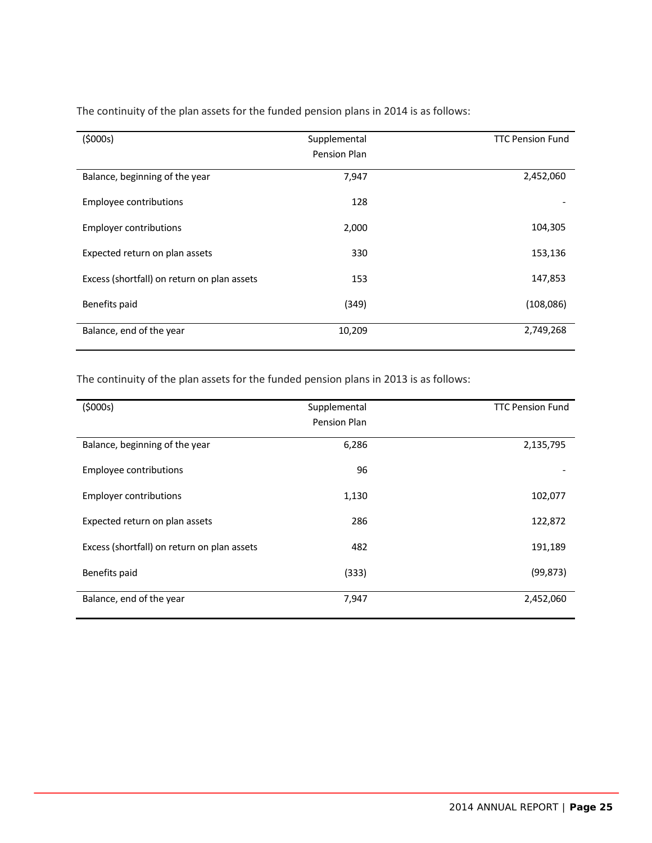The continuity of the plan assets for the funded pension plans in 2014 is as follows:

| (5000s)                                     | Supplemental | <b>TTC Pension Fund</b> |
|---------------------------------------------|--------------|-------------------------|
|                                             | Pension Plan |                         |
|                                             |              |                         |
| Balance, beginning of the year              | 7,947        | 2,452,060               |
|                                             |              |                         |
| Employee contributions                      | 128          |                         |
|                                             |              |                         |
|                                             |              |                         |
| <b>Employer contributions</b>               | 2,000        | 104,305                 |
|                                             |              |                         |
| Expected return on plan assets              | 330          | 153,136                 |
|                                             |              |                         |
| Excess (shortfall) on return on plan assets | 153          | 147,853                 |
|                                             |              |                         |
| Benefits paid                               | (349)        | (108,086)               |
|                                             |              |                         |
| Balance, end of the year                    | 10,209       | 2,749,268               |
|                                             |              |                         |
|                                             |              |                         |

The continuity of the plan assets for the funded pension plans in 2013 is as follows:

| (5000s)                                     | Supplemental | <b>TTC Pension Fund</b> |
|---------------------------------------------|--------------|-------------------------|
|                                             | Pension Plan |                         |
| Balance, beginning of the year              | 6,286        | 2,135,795               |
| Employee contributions                      | 96           |                         |
| <b>Employer contributions</b>               | 1,130        | 102,077                 |
| Expected return on plan assets              | 286          | 122,872                 |
| Excess (shortfall) on return on plan assets | 482          | 191,189                 |
| Benefits paid                               | (333)        | (99, 873)               |
| Balance, end of the year                    | 7,947        | 2,452,060               |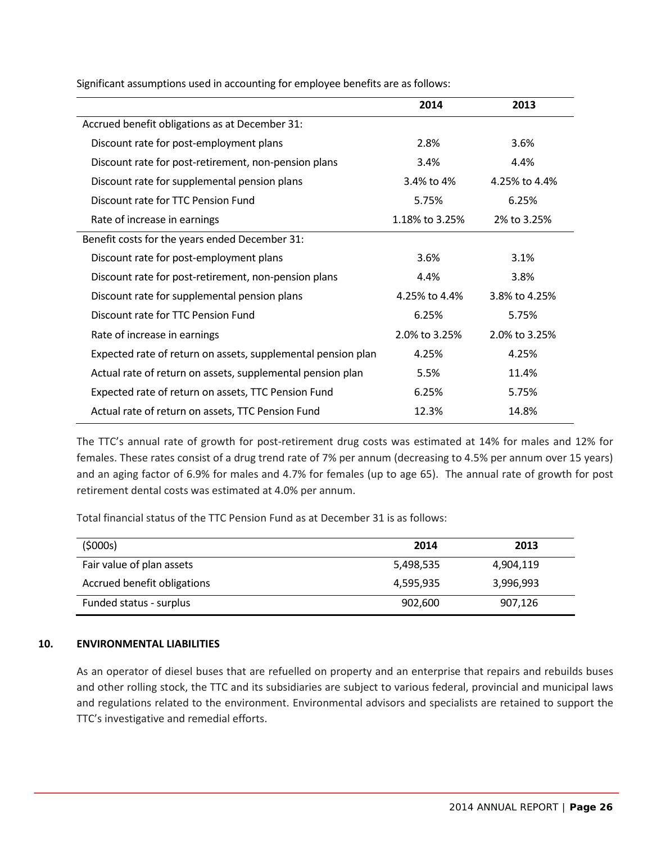|                                                              | 2014           | 2013          |
|--------------------------------------------------------------|----------------|---------------|
| Accrued benefit obligations as at December 31:               |                |               |
| Discount rate for post-employment plans                      | 2.8%           | 3.6%          |
| Discount rate for post-retirement, non-pension plans         | 3.4%           | 4.4%          |
| Discount rate for supplemental pension plans                 | 3.4% to 4%     | 4.25% to 4.4% |
| Discount rate for TTC Pension Fund                           | 5.75%          | 6.25%         |
| Rate of increase in earnings                                 | 1.18% to 3.25% | 2% to 3.25%   |
| Benefit costs for the years ended December 31:               |                |               |
| Discount rate for post-employment plans                      | 3.6%           | 3.1%          |
| Discount rate for post-retirement, non-pension plans         | 4.4%           | 3.8%          |
| Discount rate for supplemental pension plans                 | 4.25% to 4.4%  | 3.8% to 4.25% |
| Discount rate for TTC Pension Fund                           | 6.25%          | 5.75%         |
| Rate of increase in earnings                                 | 2.0% to 3.25%  | 2.0% to 3.25% |
| Expected rate of return on assets, supplemental pension plan | 4.25%          | 4.25%         |
| Actual rate of return on assets, supplemental pension plan   | 5.5%           | 11.4%         |
| Expected rate of return on assets, TTC Pension Fund          | 6.25%          | 5.75%         |
| Actual rate of return on assets, TTC Pension Fund            | 12.3%          | 14.8%         |

Significant assumptions used in accounting for employee benefits are as follows:

The TTC's annual rate of growth for post-retirement drug costs was estimated at 14% for males and 12% for females. These rates consist of a drug trend rate of 7% per annum (decreasing to 4.5% per annum over 15 years) and an aging factor of 6.9% for males and 4.7% for females (up to age 65). The annual rate of growth for post retirement dental costs was estimated at 4.0% per annum.

Total financial status of the TTC Pension Fund as at December 31 is as follows:

| (5000s)                     | 2014      | 2013      |
|-----------------------------|-----------|-----------|
| Fair value of plan assets   | 5,498,535 | 4,904,119 |
| Accrued benefit obligations | 4,595,935 | 3,996,993 |
| Funded status - surplus     | 902,600   | 907,126   |

### **10. ENVIRONMENTAL LIABILITIES**

As an operator of diesel buses that are refuelled on property and an enterprise that repairs and rebuilds buses and other rolling stock, the TTC and its subsidiaries are subject to various federal, provincial and municipal laws and regulations related to the environment. Environmental advisors and specialists are retained to support the TTC's investigative and remedial efforts.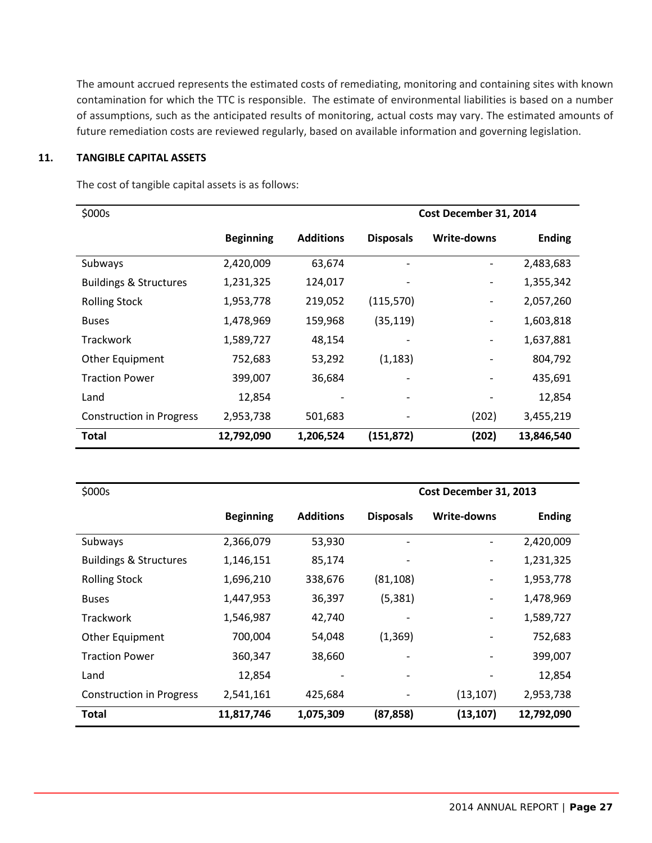The amount accrued represents the estimated costs of remediating, monitoring and containing sites with known contamination for which the TTC is responsible. The estimate of environmental liabilities is based on a number of assumptions, such as the anticipated results of monitoring, actual costs may vary. The estimated amounts of future remediation costs are reviewed regularly, based on available information and governing legislation.

### **11. TANGIBLE CAPITAL ASSETS**

The cost of tangible capital assets is as follows:

| \$000s                            |                  | Cost December 31, 2014 |                          |             |               |
|-----------------------------------|------------------|------------------------|--------------------------|-------------|---------------|
|                                   | <b>Beginning</b> | <b>Additions</b>       | <b>Disposals</b>         | Write-downs | <b>Ending</b> |
| Subways                           | 2,420,009        | 63,674                 | $\overline{\phantom{0}}$ |             | 2,483,683     |
| <b>Buildings &amp; Structures</b> | 1,231,325        | 124,017                |                          |             | 1,355,342     |
| <b>Rolling Stock</b>              | 1,953,778        | 219,052                | (115, 570)               |             | 2,057,260     |
| <b>Buses</b>                      | 1,478,969        | 159,968                | (35, 119)                |             | 1,603,818     |
| <b>Trackwork</b>                  | 1,589,727        | 48,154                 |                          |             | 1,637,881     |
| Other Equipment                   | 752,683          | 53,292                 | (1, 183)                 |             | 804,792       |
| <b>Traction Power</b>             | 399,007          | 36,684                 |                          |             | 435,691       |
| Land                              | 12,854           |                        |                          |             | 12,854        |
| <b>Construction in Progress</b>   | 2,953,738        | 501,683                |                          | (202)       | 3,455,219     |
| <b>Total</b>                      | 12,792,090       | 1,206,524              | (151, 872)               | (202)       | 13,846,540    |

| \$000s                            |                  | Cost December 31, 2013 |                  |                    |               |
|-----------------------------------|------------------|------------------------|------------------|--------------------|---------------|
|                                   | <b>Beginning</b> | <b>Additions</b>       | <b>Disposals</b> | <b>Write-downs</b> | <b>Ending</b> |
| Subways                           | 2,366,079        | 53,930                 |                  |                    | 2,420,009     |
| <b>Buildings &amp; Structures</b> | 1,146,151        | 85,174                 |                  |                    | 1,231,325     |
| <b>Rolling Stock</b>              | 1,696,210        | 338,676                | (81, 108)        |                    | 1,953,778     |
| <b>Buses</b>                      | 1,447,953        | 36,397                 | (5, 381)         |                    | 1,478,969     |
| <b>Trackwork</b>                  | 1,546,987        | 42,740                 |                  |                    | 1,589,727     |
| Other Equipment                   | 700,004          | 54,048                 | (1, 369)         |                    | 752,683       |
| <b>Traction Power</b>             | 360,347          | 38,660                 |                  |                    | 399,007       |
| Land                              | 12,854           |                        |                  |                    | 12,854        |
| <b>Construction in Progress</b>   | 2,541,161        | 425,684                |                  | (13, 107)          | 2,953,738     |
| <b>Total</b>                      | 11,817,746       | 1,075,309              | (87, 858)        | (13, 107)          | 12,792,090    |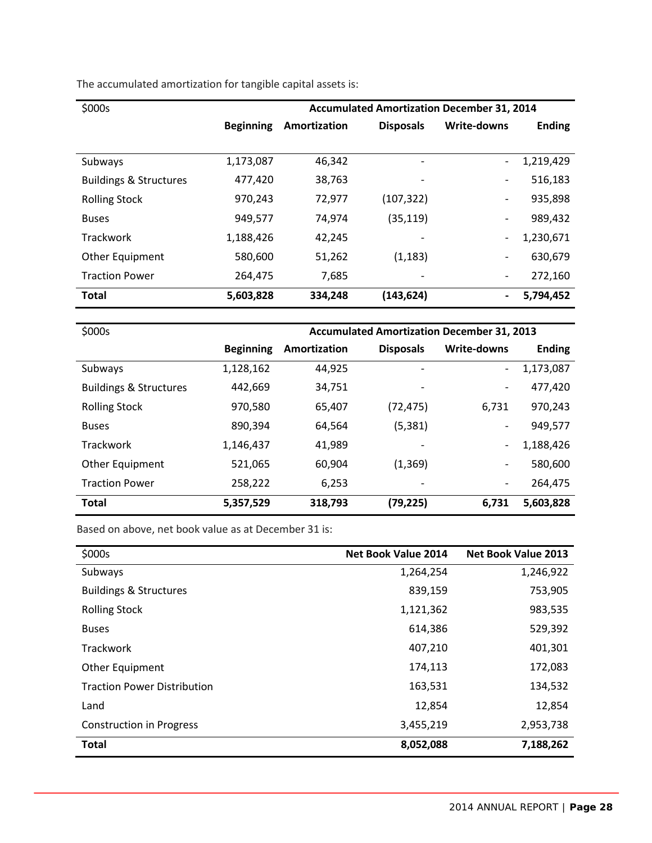| \$000s                            | <b>Accumulated Amortization December 31, 2014</b> |              |                  |                          |               |
|-----------------------------------|---------------------------------------------------|--------------|------------------|--------------------------|---------------|
|                                   | <b>Beginning</b>                                  | Amortization | <b>Disposals</b> | <b>Write-downs</b>       | <b>Ending</b> |
|                                   |                                                   |              |                  |                          |               |
| Subways                           | 1,173,087                                         | 46,342       |                  | $\overline{\phantom{0}}$ | 1,219,429     |
| <b>Buildings &amp; Structures</b> | 477,420                                           | 38,763       |                  | -                        | 516,183       |
| <b>Rolling Stock</b>              | 970,243                                           | 72,977       | (107, 322)       | -                        | 935,898       |
| <b>Buses</b>                      | 949,577                                           | 74,974       | (35, 119)        | -                        | 989,432       |
| <b>Trackwork</b>                  | 1,188,426                                         | 42,245       |                  | -                        | 1,230,671     |
| <b>Other Equipment</b>            | 580,600                                           | 51,262       | (1, 183)         | -                        | 630,679       |
| <b>Traction Power</b>             | 264,475                                           | 7,685        |                  | -                        | 272,160       |
| <b>Total</b>                      | 5,603,828                                         | 334,248      | (143, 624)       | -                        | 5,794,452     |

The accumulated amortization for tangible capital assets is:

| \$000s                            |                  | <b>Accumulated Amortization December 31, 2013</b> |                  |                          |               |
|-----------------------------------|------------------|---------------------------------------------------|------------------|--------------------------|---------------|
|                                   | <b>Beginning</b> | Amortization                                      | <b>Disposals</b> | <b>Write-downs</b>       | <b>Ending</b> |
| Subways                           | 1,128,162        | 44,925                                            |                  | $\overline{\phantom{a}}$ | 1,173,087     |
| <b>Buildings &amp; Structures</b> | 442,669          | 34,751                                            |                  | $\overline{\phantom{a}}$ | 477,420       |
| <b>Rolling Stock</b>              | 970,580          | 65,407                                            | (72, 475)        | 6.731                    | 970,243       |
| <b>Buses</b>                      | 890,394          | 64,564                                            | (5, 381)         | $\overline{\phantom{a}}$ | 949,577       |
| <b>Trackwork</b>                  | 1,146,437        | 41,989                                            |                  | $\overline{\phantom{a}}$ | 1,188,426     |
| <b>Other Equipment</b>            | 521,065          | 60,904                                            | (1, 369)         | $\overline{\phantom{a}}$ | 580,600       |
| <b>Traction Power</b>             | 258,222          | 6,253                                             |                  | $\overline{\phantom{a}}$ | 264,475       |
| <b>Total</b>                      | 5,357,529        | 318,793                                           | (79,225)         | 6.731                    | 5,603,828     |

Based on above, net book value as at December 31 is:

| \$000s                             | Net Book Value 2014 | <b>Net Book Value 2013</b> |
|------------------------------------|---------------------|----------------------------|
| Subways                            | 1,264,254           | 1,246,922                  |
| <b>Buildings &amp; Structures</b>  | 839,159             | 753,905                    |
| <b>Rolling Stock</b>               | 1,121,362           | 983,535                    |
| <b>Buses</b>                       | 614,386             | 529,392                    |
| <b>Trackwork</b>                   | 407,210             | 401,301                    |
| Other Equipment                    | 174,113             | 172,083                    |
| <b>Traction Power Distribution</b> | 163,531             | 134,532                    |
| Land                               | 12,854              | 12,854                     |
| <b>Construction in Progress</b>    | 3,455,219           | 2,953,738                  |
| <b>Total</b>                       | 8,052,088           | 7,188,262                  |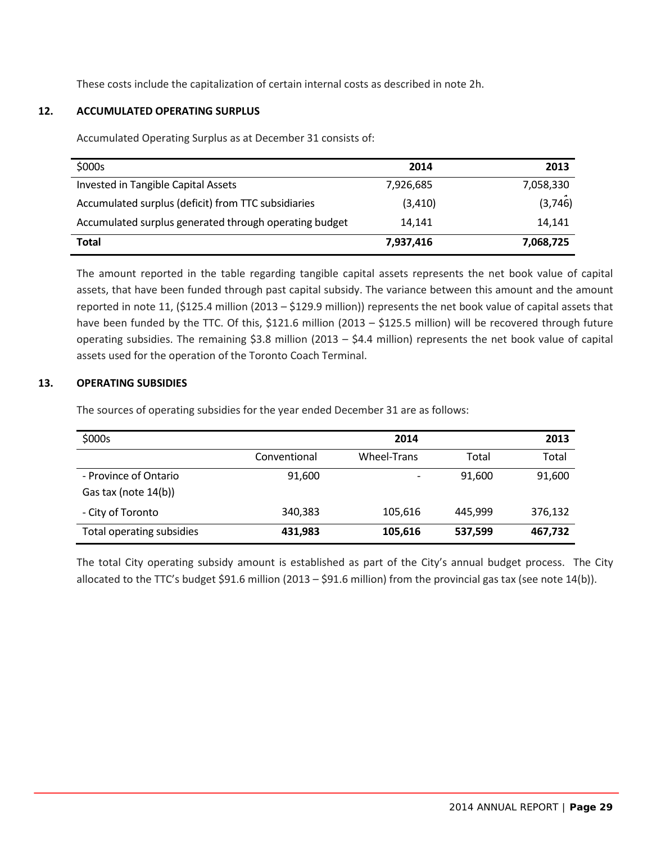These costs include the capitalization of certain internal costs as described in note 2h.

### **12. ACCUMULATED OPERATING SURPLUS**

Accumulated Operating Surplus as at December 31 consists of:

| \$000s                                                 | 2014      | 2013      |
|--------------------------------------------------------|-----------|-----------|
| Invested in Tangible Capital Assets                    | 7,926,685 | 7,058,330 |
| Accumulated surplus (deficit) from TTC subsidiaries    | (3, 410)  | (3,746)   |
| Accumulated surplus generated through operating budget | 14.141    | 14.141    |
| Total                                                  | 7,937,416 | 7,068,725 |

The amount reported in the table regarding tangible capital assets represents the net book value of capital assets, that have been funded through past capital subsidy. The variance between this amount and the amount reported in note 11, (\$125.4 million (2013 – \$129.9 million)) represents the net book value of capital assets that have been funded by the TTC. Of this, \$121.6 million (2013 – \$125.5 million) will be recovered through future operating subsidies. The remaining \$3.8 million (2013 – \$4.4 million) represents the net book value of capital assets used for the operation of the Toronto Coach Terminal.

### **13. OPERATING SUBSIDIES**

The sources of operating subsidies for the year ended December 31 are as follows:

| \$000s                    |              | 2014        |         | 2013    |
|---------------------------|--------------|-------------|---------|---------|
|                           | Conventional | Wheel-Trans | Total   | Total   |
| - Province of Ontario     | 91,600       |             | 91,600  | 91,600  |
| Gas tax (note 14(b))      |              |             |         |         |
| - City of Toronto         | 340,383      | 105,616     | 445.999 | 376,132 |
| Total operating subsidies | 431,983      | 105,616     | 537,599 | 467,732 |

The total City operating subsidy amount is established as part of the City's annual budget process. The City allocated to the TTC's budget \$91.6 million (2013 – \$91.6 million) from the provincial gas tax (see note 14(b)).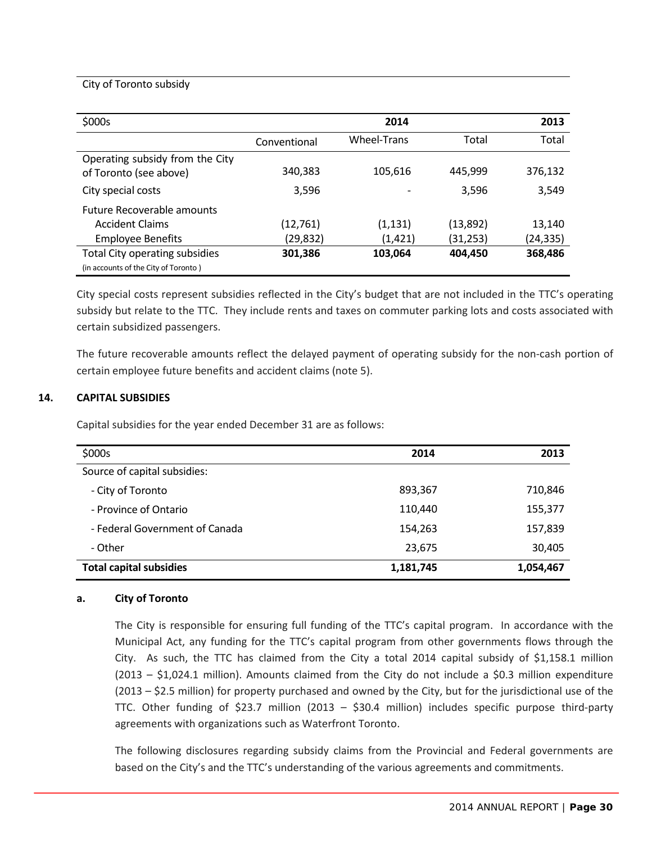#### City of Toronto subsidy

| \$000s                                                    |              | 2014        |           | 2013     |
|-----------------------------------------------------------|--------------|-------------|-----------|----------|
|                                                           | Conventional | Wheel-Trans | Total     | Total    |
| Operating subsidy from the City<br>of Toronto (see above) | 340,383      | 105,616     | 445,999   | 376,132  |
| City special costs                                        | 3,596        |             | 3,596     | 3,549    |
| <b>Future Recoverable amounts</b>                         |              |             |           |          |
| <b>Accident Claims</b>                                    | (12,761)     | (1, 131)    | (13,892)  | 13,140   |
| <b>Employee Benefits</b>                                  | (29, 832)    | (1, 421)    | (31, 253) | (24,335) |
| Total City operating subsidies                            | 301,386      | 103,064     | 404,450   | 368,486  |
| (in accounts of the City of Toronto)                      |              |             |           |          |

City special costs represent subsidies reflected in the City's budget that are not included in the TTC's operating subsidy but relate to the TTC. They include rents and taxes on commuter parking lots and costs associated with certain subsidized passengers.

The future recoverable amounts reflect the delayed payment of operating subsidy for the non-cash portion of certain employee future benefits and accident claims (note 5).

### **14. CAPITAL SUBSIDIES**

Capital subsidies for the year ended December 31 are as follows:

| \$000s                         | 2014      | 2013      |
|--------------------------------|-----------|-----------|
| Source of capital subsidies:   |           |           |
| - City of Toronto              | 893,367   | 710,846   |
| - Province of Ontario          | 110,440   | 155,377   |
| - Federal Government of Canada | 154,263   | 157,839   |
| - Other                        | 23,675    | 30,405    |
| <b>Total capital subsidies</b> | 1,181,745 | 1,054,467 |

#### **a. City of Toronto**

The City is responsible for ensuring full funding of the TTC's capital program. In accordance with the Municipal Act, any funding for the TTC's capital program from other governments flows through the City. As such, the TTC has claimed from the City a total 2014 capital subsidy of \$1,158.1 million  $(2013 - $1,024.1$  million). Amounts claimed from the City do not include a \$0.3 million expenditure (2013 – \$2.5 million) for property purchased and owned by the City, but for the jurisdictional use of the TTC. Other funding of \$23.7 million (2013 – \$30.4 million) includes specific purpose third-party agreements with organizations such as Waterfront Toronto.

The following disclosures regarding subsidy claims from the Provincial and Federal governments are based on the City's and the TTC's understanding of the various agreements and commitments.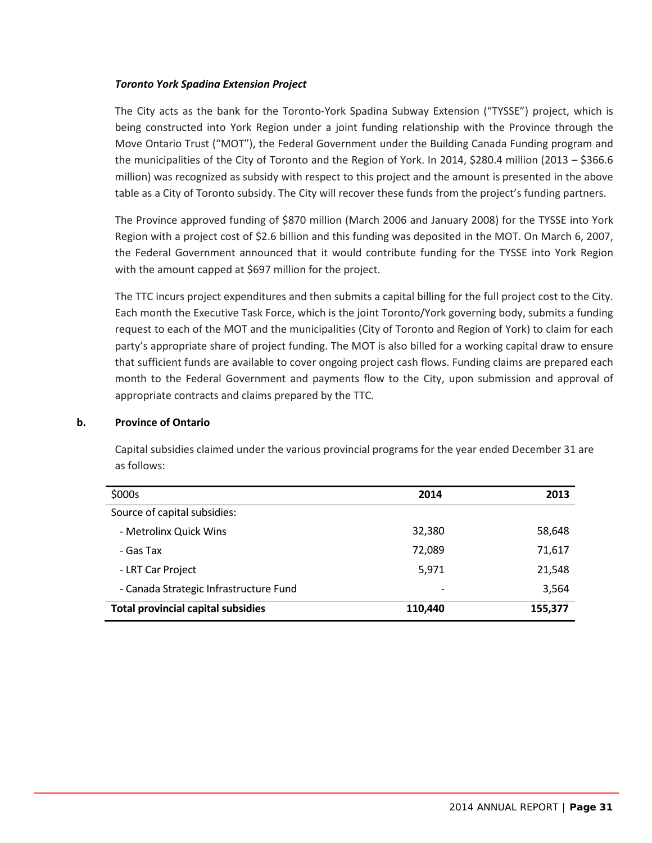### *Toronto York Spadina Extension Project*

The City acts as the bank for the Toronto-York Spadina Subway Extension ("TYSSE") project, which is being constructed into York Region under a joint funding relationship with the Province through the Move Ontario Trust ("MOT"), the Federal Government under the Building Canada Funding program and the municipalities of the City of Toronto and the Region of York. In 2014, \$280.4 million (2013 – \$366.6) million) was recognized as subsidy with respect to this project and the amount is presented in the above table as a City of Toronto subsidy. The City will recover these funds from the project's funding partners.

The Province approved funding of \$870 million (March 2006 and January 2008) for the TYSSE into York Region with a project cost of \$2.6 billion and this funding was deposited in the MOT. On March 6, 2007, the Federal Government announced that it would contribute funding for the TYSSE into York Region with the amount capped at \$697 million for the project.

The TTC incurs project expenditures and then submits a capital billing for the full project cost to the City. Each month the Executive Task Force, which is the joint Toronto/York governing body, submits a funding request to each of the MOT and the municipalities (City of Toronto and Region of York) to claim for each party's appropriate share of project funding. The MOT is also billed for a working capital draw to ensure that sufficient funds are available to cover ongoing project cash flows. Funding claims are prepared each month to the Federal Government and payments flow to the City, upon submission and approval of appropriate contracts and claims prepared by the TTC.

#### **b. Province of Ontario**

Capital subsidies claimed under the various provincial programs for the year ended December 31 are as follows:

| \$000s                                    | 2014    | 2013    |
|-------------------------------------------|---------|---------|
| Source of capital subsidies:              |         |         |
| - Metrolinx Quick Wins                    | 32,380  | 58,648  |
| - Gas Tax                                 | 72,089  | 71,617  |
| - LRT Car Project                         | 5,971   | 21,548  |
| - Canada Strategic Infrastructure Fund    |         | 3,564   |
| <b>Total provincial capital subsidies</b> | 110,440 | 155,377 |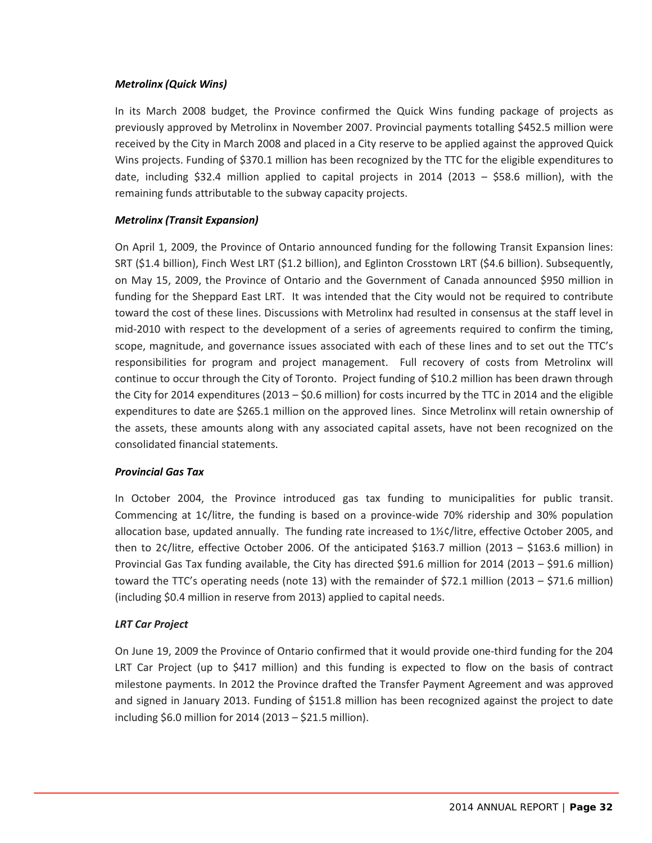### *Metrolinx (Quick Wins)*

In its March 2008 budget, the Province confirmed the Quick Wins funding package of projects as previously approved by Metrolinx in November 2007. Provincial payments totalling \$452.5 million were received by the City in March 2008 and placed in a City reserve to be applied against the approved Quick Wins projects. Funding of \$370.1 million has been recognized by the TTC for the eligible expenditures to date, including \$32.4 million applied to capital projects in 2014 (2013 – \$58.6 million), with the remaining funds attributable to the subway capacity projects.

## *Metrolinx (Transit Expansion)*

On April 1, 2009, the Province of Ontario announced funding for the following Transit Expansion lines: SRT (\$1.4 billion), Finch West LRT (\$1.2 billion), and Eglinton Crosstown LRT (\$4.6 billion). Subsequently, on May 15, 2009, the Province of Ontario and the Government of Canada announced \$950 million in funding for the Sheppard East LRT. It was intended that the City would not be required to contribute toward the cost of these lines. Discussions with Metrolinx had resulted in consensus at the staff level in mid-2010 with respect to the development of a series of agreements required to confirm the timing, scope, magnitude, and governance issues associated with each of these lines and to set out the TTC's responsibilities for program and project management. Full recovery of costs from Metrolinx will continue to occur through the City of Toronto. Project funding of \$10.2 million has been drawn through the City for 2014 expenditures (2013 – \$0.6 million) for costs incurred by the TTC in 2014 and the eligible expenditures to date are \$265.1 million on the approved lines. Since Metrolinx will retain ownership of the assets, these amounts along with any associated capital assets, have not been recognized on the consolidated financial statements.

# *Provincial Gas Tax*

In October 2004, the Province introduced gas tax funding to municipalities for public transit. Commencing at 1¢/litre, the funding is based on a province-wide 70% ridership and 30% population allocation base, updated annually. The funding rate increased to 1½¢/litre, effective October 2005, and then to 2 $\zeta$ /litre, effective October 2006. Of the anticipated \$163.7 million (2013 – \$163.6 million) in Provincial Gas Tax funding available, the City has directed \$91.6 million for 2014 (2013 – \$91.6 million) toward the TTC's operating needs (note 13) with the remainder of \$72.1 million (2013 – \$71.6 million) (including \$0.4 million in reserve from 2013) applied to capital needs.

### *LRT Car Project*

On June 19, 2009 the Province of Ontario confirmed that it would provide one-third funding for the 204 LRT Car Project (up to \$417 million) and this funding is expected to flow on the basis of contract milestone payments. In 2012 the Province drafted the Transfer Payment Agreement and was approved and signed in January 2013. Funding of \$151.8 million has been recognized against the project to date including \$6.0 million for 2014 (2013 – \$21.5 million).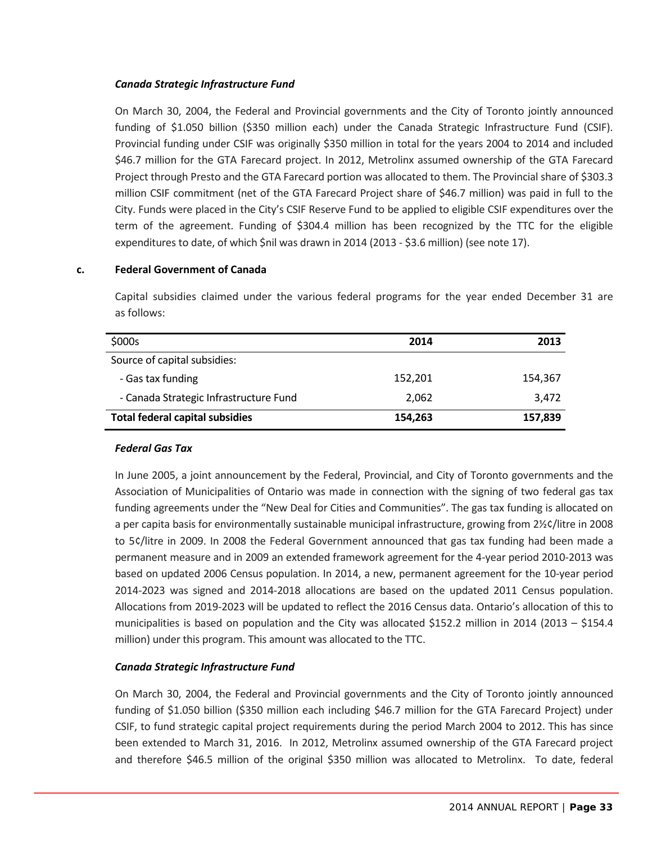### *Canada Strategic Infrastructure Fund*

On March 30, 2004, the Federal and Provincial governments and the City of Toronto jointly announced funding of \$1.050 billion (\$350 million each) under the Canada Strategic Infrastructure Fund (CSIF). Provincial funding under CSIF was originally \$350 million in total for the years 2004 to 2014 and included \$46.7 million for the GTA Farecard project. In 2012, Metrolinx assumed ownership of the GTA Farecard Project through Presto and the GTA Farecard portion was allocated to them. The Provincial share of \$303.3 million CSIF commitment (net of the GTA Farecard Project share of \$46.7 million) was paid in full to the City. Funds were placed in the City's CSIF Reserve Fund to be applied to eligible CSIF expenditures over the term of the agreement. Funding of \$304.4 million has been recognized by the TTC for the eligible expenditures to date, of which \$nil was drawn in 2014 (2013 - \$3.6 million) (see note 17).

#### **c. Federal Government of Canada**

Capital subsidies claimed under the various federal programs for the year ended December 31 are as follows:

| \$000s                                 | 2014    | 2013    |
|----------------------------------------|---------|---------|
| Source of capital subsidies:           |         |         |
| - Gas tax funding                      | 152,201 | 154,367 |
| - Canada Strategic Infrastructure Fund | 2,062   | 3.472   |
| <b>Total federal capital subsidies</b> | 154,263 | 157,839 |

### *Federal Gas Tax*

In June 2005, a joint announcement by the Federal, Provincial, and City of Toronto governments and the Association of Municipalities of Ontario was made in connection with the signing of two federal gas tax funding agreements under the "New Deal for Cities and Communities". The gas tax funding is allocated on a per capita basis for environmentally sustainable municipal infrastructure, growing from 2½¢/litre in 2008 to 5¢/litre in 2009. In 2008 the Federal Government announced that gas tax funding had been made a permanent measure and in 2009 an extended framework agreement for the 4-year period 2010-2013 was based on updated 2006 Census population. In 2014, a new, permanent agreement for the 10-year period 2014-2023 was signed and 2014-2018 allocations are based on the updated 2011 Census population. Allocations from 2019-2023 will be updated to reflect the 2016 Census data. Ontario's allocation of this to municipalities is based on population and the City was allocated \$152.2 million in 2014 (2013 – \$154.4 million) under this program. This amount was allocated to the TTC.

### *Canada Strategic Infrastructure Fund*

On March 30, 2004, the Federal and Provincial governments and the City of Toronto jointly announced funding of \$1.050 billion (\$350 million each including \$46.7 million for the GTA Farecard Project) under CSIF, to fund strategic capital project requirements during the period March 2004 to 2012. This has since been extended to March 31, 2016. In 2012, Metrolinx assumed ownership of the GTA Farecard project and therefore \$46.5 million of the original \$350 million was allocated to Metrolinx. To date, federal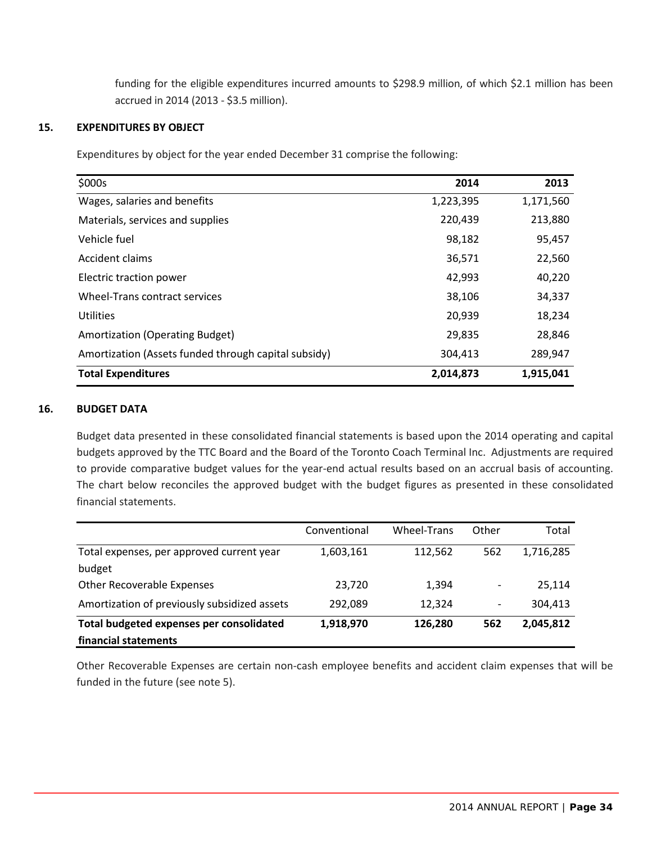funding for the eligible expenditures incurred amounts to \$298.9 million, of which \$2.1 million has been accrued in 2014 (2013 - \$3.5 million).

### **15. EXPENDITURES BY OBJECT**

Expenditures by object for the year ended December 31 comprise the following:

| \$000s                                               | 2014      | 2013      |
|------------------------------------------------------|-----------|-----------|
| Wages, salaries and benefits                         | 1,223,395 | 1,171,560 |
| Materials, services and supplies                     | 220,439   | 213,880   |
| Vehicle fuel                                         | 98,182    | 95,457    |
| Accident claims                                      | 36,571    | 22,560    |
| Electric traction power                              | 42,993    | 40,220    |
| Wheel-Trans contract services                        | 38,106    | 34,337    |
| <b>Utilities</b>                                     | 20,939    | 18,234    |
| Amortization (Operating Budget)                      | 29,835    | 28,846    |
| Amortization (Assets funded through capital subsidy) | 304,413   | 289,947   |
| <b>Total Expenditures</b>                            | 2,014,873 | 1,915,041 |

### **16. BUDGET DATA**

Budget data presented in these consolidated financial statements is based upon the 2014 operating and capital budgets approved by the TTC Board and the Board of the Toronto Coach Terminal Inc. Adjustments are required to provide comparative budget values for the year-end actual results based on an accrual basis of accounting. The chart below reconciles the approved budget with the budget figures as presented in these consolidated financial statements.

|                                              | Conventional | Wheel-Trans | Other                    | Total     |
|----------------------------------------------|--------------|-------------|--------------------------|-----------|
| Total expenses, per approved current year    | 1,603,161    | 112,562     | 562                      | 1,716,285 |
| budget                                       |              |             |                          |           |
| <b>Other Recoverable Expenses</b>            | 23,720       | 1,394       | $\overline{\phantom{a}}$ | 25,114    |
| Amortization of previously subsidized assets | 292,089      | 12,324      |                          | 304,413   |
| Total budgeted expenses per consolidated     | 1,918,970    | 126,280     | 562                      | 2,045,812 |
| financial statements                         |              |             |                          |           |

Other Recoverable Expenses are certain non-cash employee benefits and accident claim expenses that will be funded in the future (see note 5).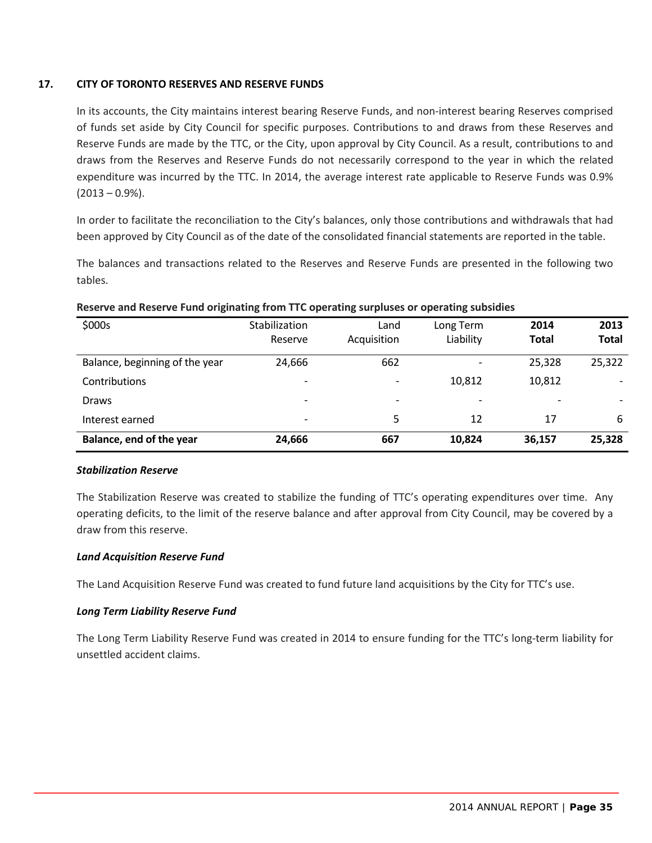## **17. CITY OF TORONTO RESERVES AND RESERVE FUNDS**

In its accounts, the City maintains interest bearing Reserve Funds, and non-interest bearing Reserves comprised of funds set aside by City Council for specific purposes. Contributions to and draws from these Reserves and Reserve Funds are made by the TTC, or the City, upon approval by City Council. As a result, contributions to and draws from the Reserves and Reserve Funds do not necessarily correspond to the year in which the related expenditure was incurred by the TTC. In 2014, the average interest rate applicable to Reserve Funds was 0.9%  $(2013 - 0.9\%).$ 

In order to facilitate the reconciliation to the City's balances, only those contributions and withdrawals that had been approved by City Council as of the date of the consolidated financial statements are reported in the table.

The balances and transactions related to the Reserves and Reserve Funds are presented in the following two tables.

| \$000s                         | Stabilization<br>Reserve | Land<br>Acquisition      | Long Term<br>Liability   | 2014<br><b>Total</b> | 2013<br><b>Total</b> |
|--------------------------------|--------------------------|--------------------------|--------------------------|----------------------|----------------------|
| Balance, beginning of the year | 24,666                   | 662                      |                          | 25,328               | 25,322               |
| Contributions                  | $\overline{\phantom{a}}$ | $\overline{\phantom{0}}$ | 10,812                   | 10,812               |                      |
| <b>Draws</b>                   | $\overline{\phantom{0}}$ | -                        | $\overline{\phantom{0}}$ |                      |                      |
| Interest earned                | $\overline{\phantom{0}}$ | 5                        | 12                       | 17                   | 6                    |
| Balance, end of the year       | 24,666                   | 667                      | 10,824                   | 36,157               | 25,328               |

#### **Reserve and Reserve Fund originating from TTC operating surpluses or operating subsidies**

### *Stabilization Reserve*

The Stabilization Reserve was created to stabilize the funding of TTC's operating expenditures over time. Any operating deficits, to the limit of the reserve balance and after approval from City Council, may be covered by a draw from this reserve.

### *Land Acquisition Reserve Fund*

The Land Acquisition Reserve Fund was created to fund future land acquisitions by the City for TTC's use.

### *Long Term Liability Reserve Fund*

The Long Term Liability Reserve Fund was created in 2014 to ensure funding for the TTC's long-term liability for unsettled accident claims.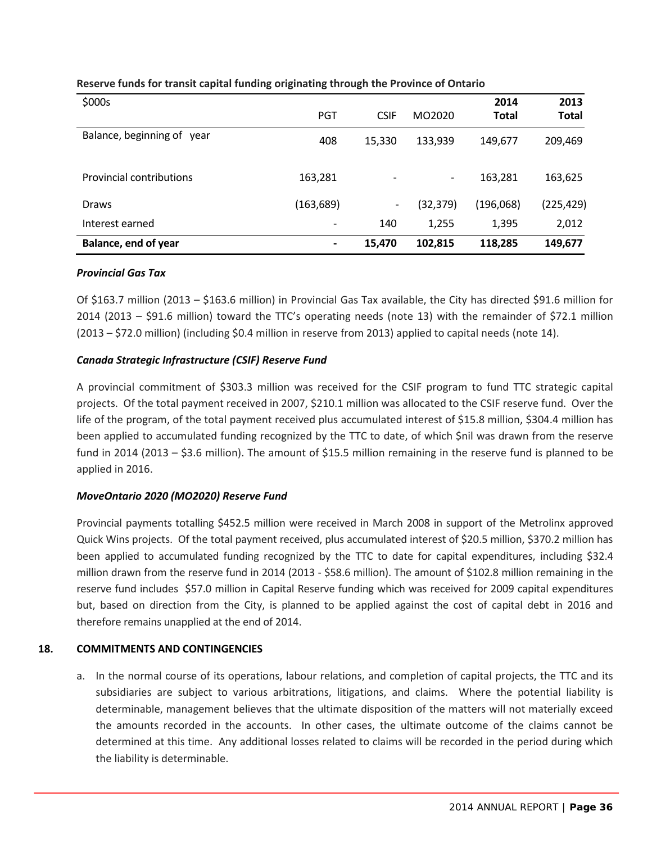| \$000s                     |                          |                          |                          | 2014         | 2013         |
|----------------------------|--------------------------|--------------------------|--------------------------|--------------|--------------|
|                            | <b>PGT</b>               | <b>CSIF</b>              | MO2020                   | <b>Total</b> | <b>Total</b> |
| Balance, beginning of year | 408                      | 15,330                   | 133,939                  | 149,677      | 209,469      |
| Provincial contributions   | 163,281                  | $\overline{\phantom{0}}$ | $\overline{\phantom{a}}$ | 163,281      | 163,625      |
| Draws                      | (163, 689)               | $\overline{\phantom{a}}$ | (32, 379)                | (196,068)    | (225, 429)   |
| Interest earned            | $\overline{\phantom{a}}$ | 140                      | 1,255                    | 1,395        | 2,012        |
| Balance, end of year       | $\blacksquare$           | 15,470                   | 102,815                  | 118,285      | 149,677      |

## **Reserve funds for transit capital funding originating through the Province of Ontario**

#### *Provincial Gas Tax*

Of \$163.7 million (2013 – \$163.6 million) in Provincial Gas Tax available, the City has directed \$91.6 million for 2014 (2013 – \$91.6 million) toward the TTC's operating needs (note 13) with the remainder of \$72.1 million (2013 – \$72.0 million) (including \$0.4 million in reserve from 2013) applied to capital needs (note 14).

## *Canada Strategic Infrastructure (CSIF) Reserve Fund*

A provincial commitment of \$303.3 million was received for the CSIF program to fund TTC strategic capital projects. Of the total payment received in 2007, \$210.1 million was allocated to the CSIF reserve fund. Over the life of the program, of the total payment received plus accumulated interest of \$15.8 million, \$304.4 million has been applied to accumulated funding recognized by the TTC to date, of which \$nil was drawn from the reserve fund in 2014 (2013 – \$3.6 million). The amount of \$15.5 million remaining in the reserve fund is planned to be applied in 2016.

### *MoveOntario 2020 (MO2020) Reserve Fund*

Provincial payments totalling \$452.5 million were received in March 2008 in support of the Metrolinx approved Quick Wins projects. Of the total payment received, plus accumulated interest of \$20.5 million, \$370.2 million has been applied to accumulated funding recognized by the TTC to date for capital expenditures, including \$32.4 million drawn from the reserve fund in 2014 (2013 - \$58.6 million). The amount of \$102.8 million remaining in the reserve fund includes \$57.0 million in Capital Reserve funding which was received for 2009 capital expenditures but, based on direction from the City, is planned to be applied against the cost of capital debt in 2016 and therefore remains unapplied at the end of 2014.

### **18. COMMITMENTS AND CONTINGENCIES**

a. In the normal course of its operations, labour relations, and completion of capital projects, the TTC and its subsidiaries are subject to various arbitrations, litigations, and claims. Where the potential liability is determinable, management believes that the ultimate disposition of the matters will not materially exceed the amounts recorded in the accounts. In other cases, the ultimate outcome of the claims cannot be determined at this time. Any additional losses related to claims will be recorded in the period during which the liability is determinable.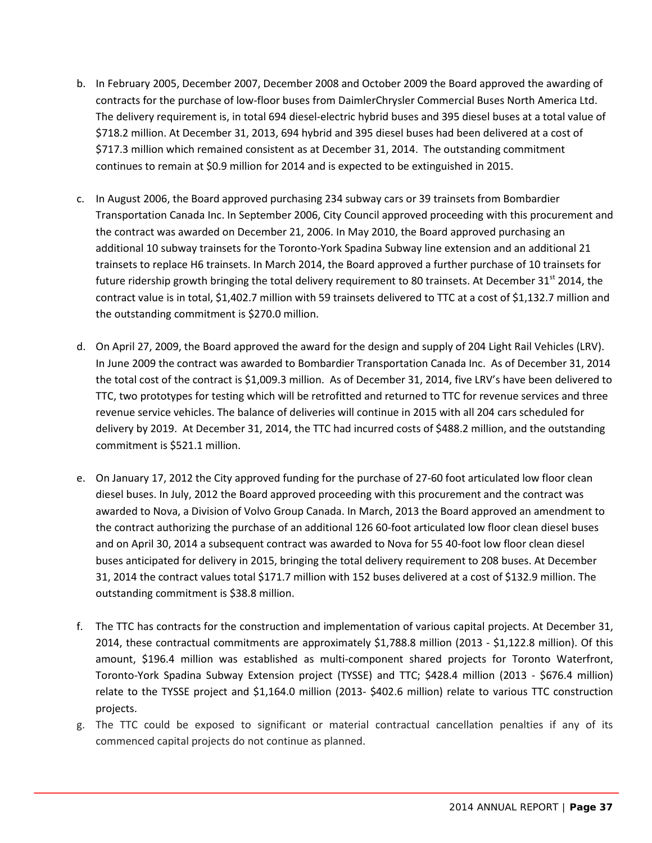- b. In February 2005, December 2007, December 2008 and October 2009 the Board approved the awarding of contracts for the purchase of low-floor buses from DaimlerChrysler Commercial Buses North America Ltd. The delivery requirement is, in total 694 diesel-electric hybrid buses and 395 diesel buses at a total value of \$718.2 million. At December 31, 2013, 694 hybrid and 395 diesel buses had been delivered at a cost of \$717.3 million which remained consistent as at December 31, 2014. The outstanding commitment continues to remain at \$0.9 million for 2014 and is expected to be extinguished in 2015.
- c. In August 2006, the Board approved purchasing 234 subway cars or 39 trainsets from Bombardier Transportation Canada Inc. In September 2006, City Council approved proceeding with this procurement and the contract was awarded on December 21, 2006. In May 2010, the Board approved purchasing an additional 10 subway trainsets for the Toronto-York Spadina Subway line extension and an additional 21 trainsets to replace H6 trainsets. In March 2014, the Board approved a further purchase of 10 trainsets for future ridership growth bringing the total delivery requirement to 80 trainsets. At December 31<sup>st</sup> 2014, the contract value is in total, \$1,402.7 million with 59 trainsets delivered to TTC at a cost of \$1,132.7 million and the outstanding commitment is \$270.0 million.
- d. On April 27, 2009, the Board approved the award for the design and supply of 204 Light Rail Vehicles (LRV). In June 2009 the contract was awarded to Bombardier Transportation Canada Inc. As of December 31, 2014 the total cost of the contract is \$1,009.3 million. As of December 31, 2014, five LRV's have been delivered to TTC, two prototypes for testing which will be retrofitted and returned to TTC for revenue services and three revenue service vehicles. The balance of deliveries will continue in 2015 with all 204 cars scheduled for delivery by 2019. At December 31, 2014, the TTC had incurred costs of \$488.2 million, and the outstanding commitment is \$521.1 million.
- e. On January 17, 2012 the City approved funding for the purchase of 27-60 foot articulated low floor clean diesel buses. In July, 2012 the Board approved proceeding with this procurement and the contract was awarded to Nova, a Division of Volvo Group Canada. In March, 2013 the Board approved an amendment to the contract authorizing the purchase of an additional 126 60-foot articulated low floor clean diesel buses and on April 30, 2014 a subsequent contract was awarded to Nova for 55 40-foot low floor clean diesel buses anticipated for delivery in 2015, bringing the total delivery requirement to 208 buses. At December 31, 2014 the contract values total \$171.7 million with 152 buses delivered at a cost of \$132.9 million. The outstanding commitment is \$38.8 million.
- f. The TTC has contracts for the construction and implementation of various capital projects. At December 31, 2014, these contractual commitments are approximately \$1,788.8 million (2013 - \$1,122.8 million). Of this amount, \$196.4 million was established as multi-component shared projects for Toronto Waterfront, Toronto-York Spadina Subway Extension project (TYSSE) and TTC; \$428.4 million (2013 - \$676.4 million) relate to the TYSSE project and \$1,164.0 million (2013- \$402.6 million) relate to various TTC construction projects.
- g. The TTC could be exposed to significant or material contractual cancellation penalties if any of its commenced capital projects do not continue as planned.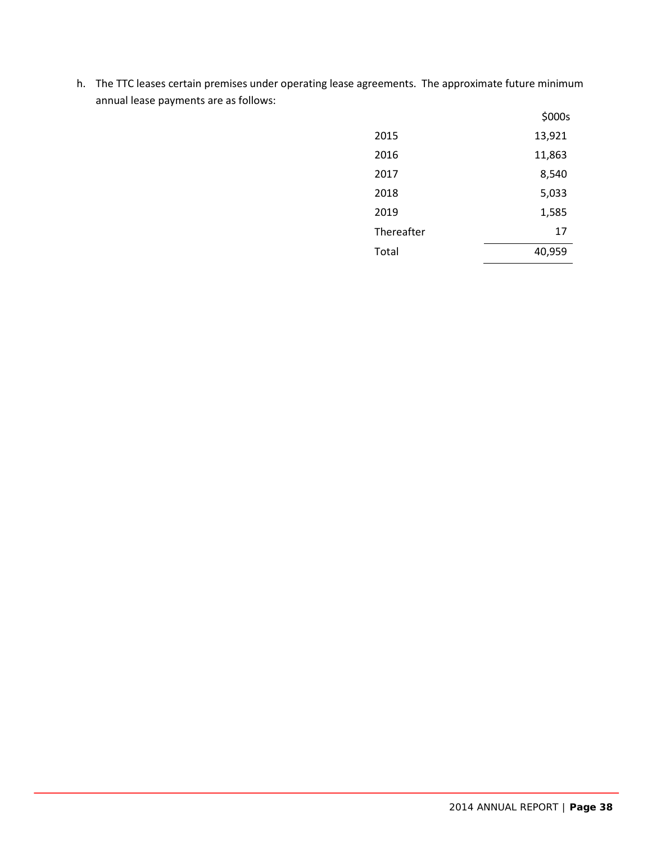h. The TTC leases certain premises under operating lease agreements. The approximate future minimum annual lease payments are as follows:

|            | \$000s |
|------------|--------|
| 2015       | 13,921 |
| 2016       | 11,863 |
| 2017       | 8,540  |
| 2018       | 5,033  |
| 2019       | 1,585  |
| Thereafter | 17     |
| Total      | 40,959 |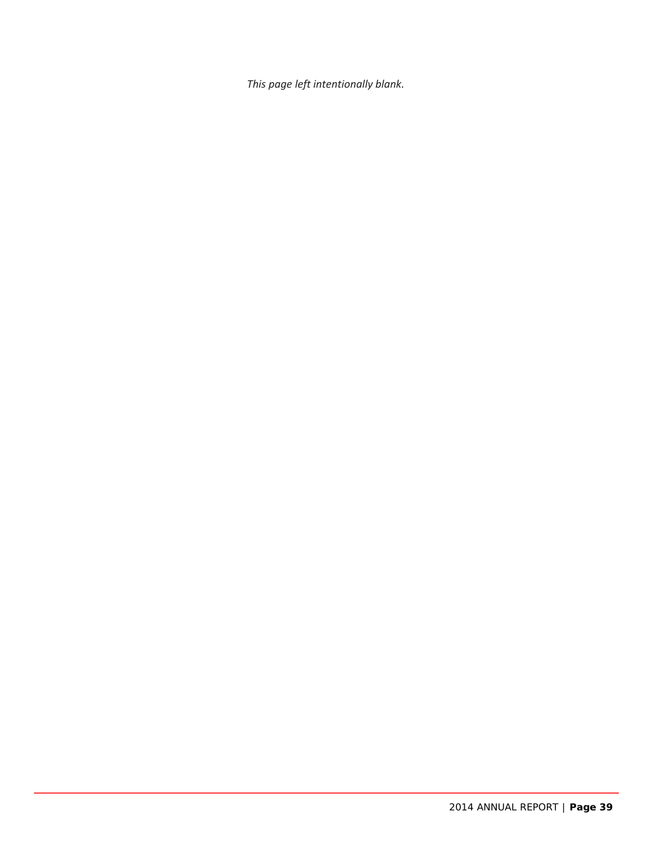*This page left intentionally blank.*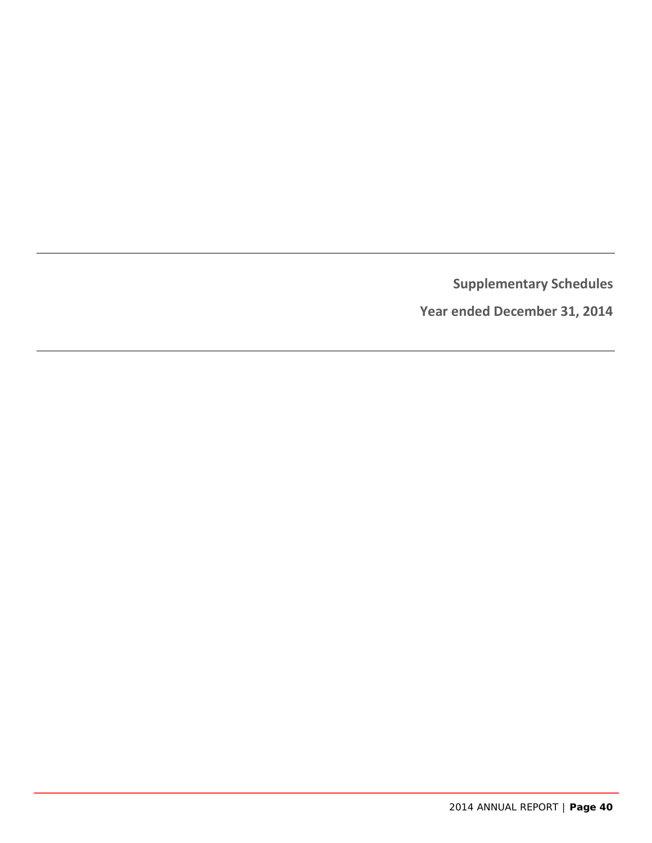**Supplementary Schedules**

**Year ended December 31, 2014**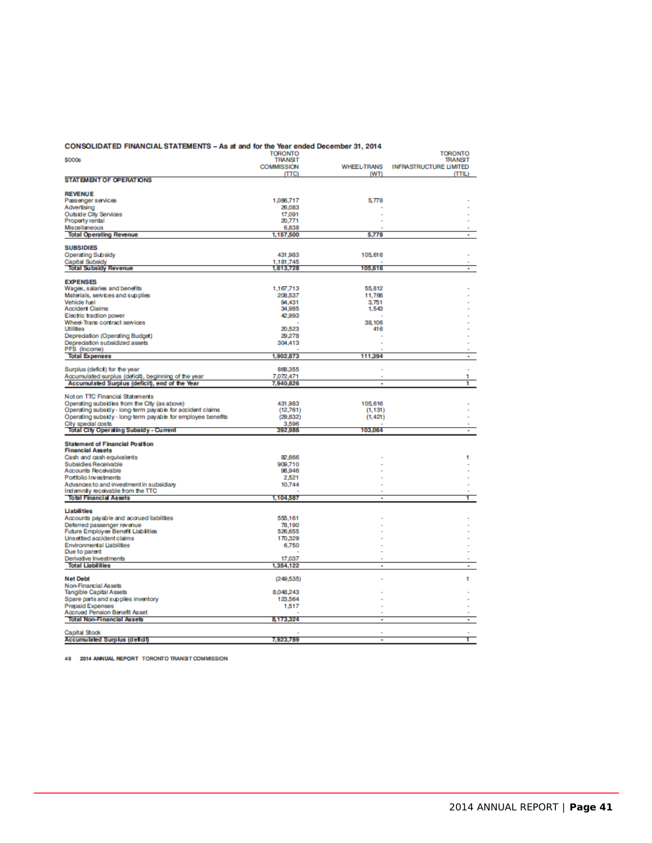| CONSOLIDATED FINANCIAL STATEMENTS - As at and for the Year ended December 31, 2014 |  |
|------------------------------------------------------------------------------------|--|
|                                                                                    |  |

|                                                               | <b>TORONTO</b>    | are rear ended becember 31, 2014 | <b>TORONTO</b>                |
|---------------------------------------------------------------|-------------------|----------------------------------|-------------------------------|
| \$000s                                                        | <b>TRANSIT</b>    |                                  | <b>TRANSIT</b>                |
|                                                               | <b>COMMISSION</b> | <b>WHEEL-TRANS</b>               | <b>INFRASTRUCTURE LIMITED</b> |
|                                                               | (TTC)             | (WT)                             | (TTIL)                        |
| <b>STATEMENT OF OPERATIONS</b>                                |                   |                                  |                               |
|                                                               |                   |                                  |                               |
| <b>REVENUE</b>                                                |                   |                                  |                               |
| Passenger services                                            | 1,086,717         | 5,778                            |                               |
| Advertising                                                   | 26,083            |                                  |                               |
| Outside City Services<br>Property rental                      | 17,091<br>20,771  |                                  |                               |
| Miscellaneous                                                 | 6,838             |                                  |                               |
| <b>Total Operating Revenue</b>                                | 1,157,500         | 5,778                            | ٠                             |
|                                                               |                   |                                  |                               |
| <b>SUBSIDIES</b>                                              |                   |                                  |                               |
| Operating Subsidy                                             | 431,983           | 105,616                          |                               |
| Capital Subsidy                                               | 1,181,745         |                                  |                               |
| <b>Total Subsidy Revenue</b>                                  | 1,613,728         | 105,616                          |                               |
|                                                               |                   |                                  |                               |
| <b>EXPENSES</b>                                               |                   |                                  |                               |
| Wages, salaries and benefits                                  | 1,167,713         | 55,812                           |                               |
| Materials, services and supplies                              | 208,537           | 11,766                           |                               |
| Vehicle fuel                                                  | 94,431            | 3.751                            |                               |
| <b>Accident Claims</b>                                        | 34,985            | 1,543                            |                               |
| Electric traction power                                       | 42,993            |                                  |                               |
| Wheel-Trans contract services                                 |                   | 38,106                           |                               |
| <b>Utilities</b>                                              | 20,523            | 416                              |                               |
| Depreciation (Operating Budget)                               | 29,278            |                                  |                               |
| Depreciation subsidized assets                                | 304,413           |                                  |                               |
| PFS (Income)                                                  | 1,902,873         | 111,394                          | $\blacksquare$                |
| <b>Total Expenses</b>                                         |                   |                                  |                               |
| Surplus (deficit) for the year                                | 868,355           |                                  |                               |
| Accumulated surplus (deficit), beginning of the year          | 7,072,471         |                                  | 1                             |
| Accumulated Surplus (deficit), end of the Year                | 7,940,826         | $\ddot{\phantom{1}}$             | Ŧ                             |
|                                                               |                   |                                  |                               |
| Not on TTC Financial Statements                               |                   |                                  |                               |
| Operating subsidies from the City (as above)                  | 431,983           | 105,616                          |                               |
| Operating subsidy - long-term payable for accident claims     | (12,761)          | (1, 131)                         |                               |
| Operating subsidy - long-term payable for employee benefits   | (29, 832)         | (1, 421)                         |                               |
| City special costs                                            | 3,596             |                                  |                               |
| <b>Total City Operating Subsidy - Current</b>                 | 392,986           | 103,064                          |                               |
|                                                               |                   |                                  |                               |
| <b>Statement of Financial Position</b>                        |                   |                                  |                               |
| <b>Financial Assets</b><br>Cash and cash equivalents          |                   |                                  | 1                             |
| Subsidies Receivable                                          | 82,666<br>909,710 |                                  |                               |
| Accounts Receivable                                           | 98,946            |                                  |                               |
| Portfolio Investments                                         | 2,521             |                                  |                               |
| Advances to and investment in subsidiary                      | 10,744            |                                  |                               |
| Indemnity receivable from the TTC                             |                   |                                  |                               |
| <b>Total Financial Assets</b>                                 | 1,104,587         | ۰                                |                               |
|                                                               |                   |                                  |                               |
| <b>Liabilities</b>                                            |                   |                                  |                               |
| Accounts payable and accrued liabilities                      | 555,161           |                                  |                               |
| Deferred passenger revenue                                    | 78,190            |                                  |                               |
| Future Employee Beneft Liabilities                            | 526,655           |                                  |                               |
| Unsettled accident claims                                     | 170,329           |                                  |                               |
| <b>Environmental Liabilities</b>                              | 6,750             |                                  |                               |
| Due to parent                                                 |                   |                                  |                               |
| Derivative Investments                                        | 17,037            |                                  |                               |
| <b>Total Liabilities</b>                                      | 1,354,122         | ٠                                | ÷                             |
|                                                               |                   |                                  |                               |
| <b>Net Debt</b>                                               | (249, 535)        |                                  | 1                             |
| Non-Financial Assets                                          | 8,048,243         |                                  |                               |
| Tangible Capital Assets                                       | 123,564           |                                  |                               |
| Spare parts and supplies inventory<br><b>Prepaid Expenses</b> | 1,517             |                                  |                               |
| <b>Accrued Pension Benefit Asset</b>                          |                   |                                  |                               |
| <b>Total Non-Financial Assets</b>                             | 8,173,324         |                                  |                               |
|                                                               |                   |                                  |                               |
| Capital Stock                                                 |                   |                                  |                               |
| <b>Accumulated Surplus (deficit)</b>                          | 7,923,789         |                                  |                               |

48 2014 ANNUAL REPORT TORONTO TRANSIT COMMISSION